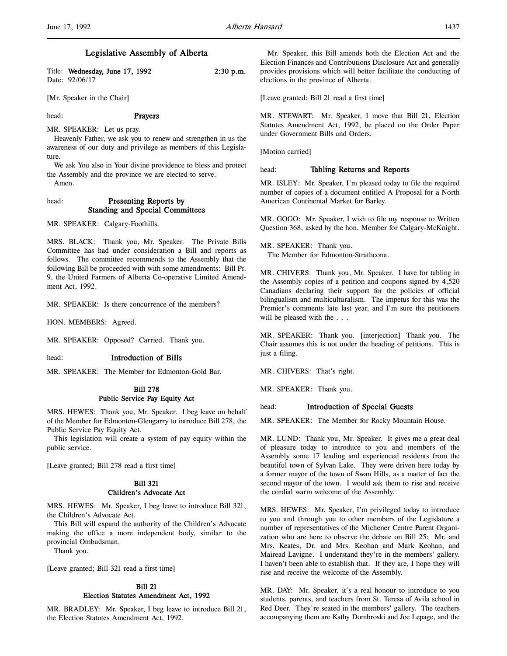| Title: Wednesday, June 17, 1992 | $2:30$ p.m. |
|---------------------------------|-------------|
| Date: 92/06/17                  |             |

[Mr. Speaker in the Chair]

#### head: **Prayers**

MR. SPEAKER: Let us pray.

Heavenly Father, we ask you to renew and strengthen in us the awareness of our duty and privilege as members of this Legislature.

We ask You also in Your divine providence to bless and protect the Assembly and the province we are elected to serve. Amen.

## head: Presenting Reports by Standing and Special Committees

MR. SPEAKER: Calgary-Foothills.

MRS. BLACK: Thank you, Mr. Speaker. The Private Bills Committee has had under consideration a Bill and reports as follows. The committee recommends to the Assembly that the following Bill be proceeded with with some amendments: Bill Pr. 9, the United Farmers of Alberta Co-operative Limited Amendment Act, 1992.

MR. SPEAKER: Is there concurrence of the members?

HON. MEMBERS: Agreed.

MR. SPEAKER: Opposed? Carried. Thank you.

#### head: Introduction of Bills

MR. SPEAKER: The Member for Edmonton-Gold Bar.

# Bill 278 Public Service Pay Equity Act

MRS. HEWES: Thank you, Mr. Speaker. I beg leave on behalf of the Member for Edmonton-Glengarry to introduce Bill 278, the Public Service Pay Equity Act.

This legislation will create a system of pay equity within the public service.

[Leave granted; Bill 278 read a first time]

# Bill 321 Children's Advocate Act

MRS. HEWES: Mr. Speaker, I beg leave to introduce Bill 321, the Children's Advocate Act.

This Bill will expand the authority of the Children's Advocate making the office a more independent body, similar to the provincial Ombudsman.

Thank you.

[Leave granted; Bill 321 read a first time]

## Bill 21 Election Statutes Amendment Act, 1992

MR. BRADLEY: Mr. Speaker, I beg leave to introduce Bill 21, the Election Statutes Amendment Act, 1992.

Mr. Speaker, this Bill amends both the Election Act and the Election Finances and Contributions Disclosure Act and generally provides provisions which will better facilitate the conducting of elections in the province of Alberta.

[Leave granted; Bill 21 read a first time]

MR. STEWART: Mr. Speaker, I move that Bill 21, Election Statutes Amendment Act, 1992, be placed on the Order Paper under Government Bills and Orders.

[Motion carried]

#### head: Tabling Returns and Reports

MR. ISLEY: Mr. Speaker, I'm pleased today to file the required number of copies of a document entitled A Proposal for a North American Continental Market for Barley.

MR. GOGO: Mr. Speaker, I wish to file my response to Written Question 368, asked by the hon. Member for Calgary-McKnight.

MR. SPEAKER: Thank you. The Member for Edmonton-Strathcona.

MR. CHIVERS: Thank you, Mr. Speaker. I have for tabling in the Assembly copies of a petition and coupons signed by 4,520 Canadians declaring their support for the policies of official bilingualism and multiculturalism. The impetus for this was the Premier's comments late last year, and I'm sure the petitioners will be pleased with the . . .

MR. SPEAKER: Thank you. [interjection] Thank you. The Chair assumes this is not under the heading of petitions. This is just a filing.

MR. CHIVERS: That's right.

MR. SPEAKER: Thank you.

### head: Introduction of Special Guests

MR. SPEAKER: The Member for Rocky Mountain House.

MR. LUND: Thank you, Mr. Speaker. It gives me a great deal of pleasure today to introduce to you and members of the Assembly some 17 leading and experienced residents from the beautiful town of Sylvan Lake. They were driven here today by a former mayor of the town of Swan Hills, as a matter of fact the second mayor of the town. I would ask them to rise and receive the cordial warm welcome of the Assembly.

MRS. HEWES: Mr. Speaker, I'm privileged today to introduce to you and through you to other members of the Legislature a number of representatives of the Michener Centre Parent Organization who are here to observe the debate on Bill 25: Mr. and Mrs. Keates, Dr. and Mrs. Keohan and Mark Keohan, and Mairead Lavigne. I understand they're in the members' gallery. I haven't been able to establish that. If they are, I hope they will rise and receive the welcome of the Assembly.

MR. DAY: Mr. Speaker, it's a real honour to introduce to you students, parents, and teachers from St. Teresa of Avila school in Red Deer. They're seated in the members' gallery. The teachers accompanying them are Kathy Dombroski and Joe Lepage, and the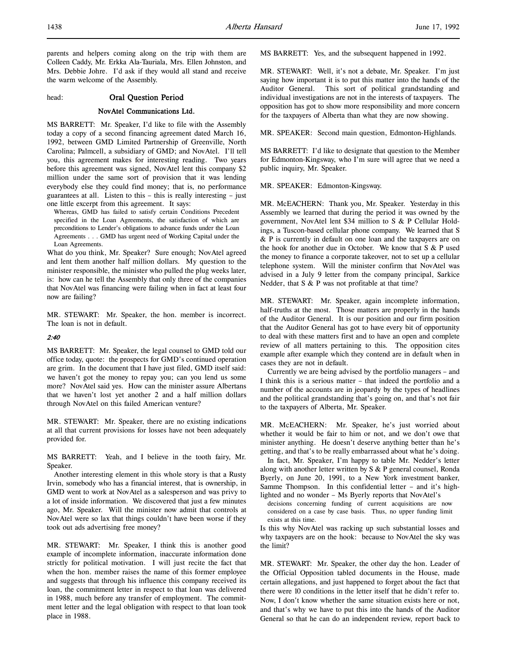parents and helpers coming along on the trip with them are Colleen Caddy, Mr. Erkka Ala-Tauriala, Mrs. Ellen Johnston, and Mrs. Debbie Johre. I'd ask if they would all stand and receive the warm welcome of the Assembly.

head: Oral Question Period

#### NovAtel Communications Ltd.

MS BARRETT: Mr. Speaker, I'd like to file with the Assembly today a copy of a second financing agreement dated March 16, 1992, between GMD Limited Partnership of Greenville, North Carolina; Palmcell, a subsidiary of GMD; and NovAtel. I'll tell you, this agreement makes for interesting reading. Two years before this agreement was signed, NovAtel lent this company \$2 million under the same sort of provision that it was lending everybody else they could find money; that is, no performance guarantees at all. Listen to this – this is really interesting – just one little excerpt from this agreement. It says:

Whereas, GMD has failed to satisfy certain Conditions Precedent specified in the Loan Agreements, the satisfaction of which are preconditions to Lender's obligations to advance funds under the Loan Agreements . . . GMD has urgent need of Working Capital under the Loan Agreements.

What do you think, Mr. Speaker? Sure enough; NovAtel agreed and lent them another half million dollars. My question to the minister responsible, the minister who pulled the plug weeks later, is: how can he tell the Assembly that only three of the companies that NovAtel was financing were failing when in fact at least four now are failing?

MR. STEWART: Mr. Speaker, the hon. member is incorrect. The loan is not in default.

# $2.40$

MS BARRETT: Mr. Speaker, the legal counsel to GMD told our office today, quote: the prospects for GMD's continued operation are grim. In the document that I have just filed, GMD itself said: we haven't got the money to repay you; can you lend us some more? NovAtel said yes. How can the minister assure Albertans that we haven't lost yet another 2 and a half million dollars through NovAtel on this failed American venture?

MR. STEWART: Mr. Speaker, there are no existing indications at all that current provisions for losses have not been adequately provided for.

MS BARRETT: Yeah, and I believe in the tooth fairy, Mr. Speaker.

Another interesting element in this whole story is that a Rusty Irvin, somebody who has a financial interest, that is ownership, in GMD went to work at NovAtel as a salesperson and was privy to a lot of inside information. We discovered that just a few minutes ago, Mr. Speaker. Will the minister now admit that controls at NovAtel were so lax that things couldn't have been worse if they took out ads advertising free money?

MR. STEWART: Mr. Speaker, I think this is another good example of incomplete information, inaccurate information done strictly for political motivation. I will just recite the fact that when the hon. member raises the name of this former employee and suggests that through his influence this company received its loan, the commitment letter in respect to that loan was delivered in 1988, much before any transfer of employment. The commitment letter and the legal obligation with respect to that loan took place in 1988.

MS BARRETT: Yes, and the subsequent happened in 1992.

MR. STEWART: Well, it's not a debate, Mr. Speaker. I'm just saying how important it is to put this matter into the hands of the Auditor General. This sort of political grandstanding and individual investigations are not in the interests of taxpayers. The opposition has got to show more responsibility and more concern for the taxpayers of Alberta than what they are now showing.

MR. SPEAKER: Second main question, Edmonton-Highlands.

MS BARRETT: I'd like to designate that question to the Member for Edmonton-Kingsway, who I'm sure will agree that we need a public inquiry, Mr. Speaker.

MR. SPEAKER: Edmonton-Kingsway.

MR. McEACHERN: Thank you, Mr. Speaker. Yesterday in this Assembly we learned that during the period it was owned by the government, NovAtel lent \$34 million to S & P Cellular Holdings, a Tuscon-based cellular phone company. We learned that S & P is currently in default on one loan and the taxpayers are on the hook for another due in October. We know that S & P used the money to finance a corporate takeover, not to set up a cellular telephone system. Will the minister confirm that NovAtel was advised in a July 9 letter from the company principal, Sarkice Nedder, that S & P was not profitable at that time?

MR. STEWART: Mr. Speaker, again incomplete information, half-truths at the most. Those matters are properly in the hands of the Auditor General. It is our position and our firm position that the Auditor General has got to have every bit of opportunity to deal with these matters first and to have an open and complete review of all matters pertaining to this. The opposition cites example after example which they contend are in default when in cases they are not in default.

Currently we are being advised by the portfolio managers – and I think this is a serious matter – that indeed the portfolio and a number of the accounts are in jeopardy by the types of headlines and the political grandstanding that's going on, and that's not fair to the taxpayers of Alberta, Mr. Speaker.

MR. McEACHERN: Mr. Speaker, he's just worried about whether it would be fair to him or not, and we don't owe that minister anything. He doesn't deserve anything better than he's getting, and that's to be really embarrassed about what he's doing.

In fact, Mr. Speaker, I'm happy to table Mr. Nedder's letter along with another letter written by S & P general counsel, Ronda Byerly, on June 20, 1991, to a New York investment banker, Samme Thompson. In this confidential letter – and it's highlighted and no wonder – Ms Byerly reports that NovAtel's

decisions concerning funding of current acquisitions are now considered on a case by case basis. Thus, no upper funding limit exists at this time.

Is this why NovAtel was racking up such substantial losses and why taxpayers are on the hook: because to NovAtel the sky was the limit?

MR. STEWART: Mr. Speaker, the other day the hon. Leader of the Official Opposition tabled documents in the House, made certain allegations, and just happened to forget about the fact that there were 10 conditions in the letter itself that he didn't refer to. Now, I don't know whether the same situation exists here or not, and that's why we have to put this into the hands of the Auditor General so that he can do an independent review, report back to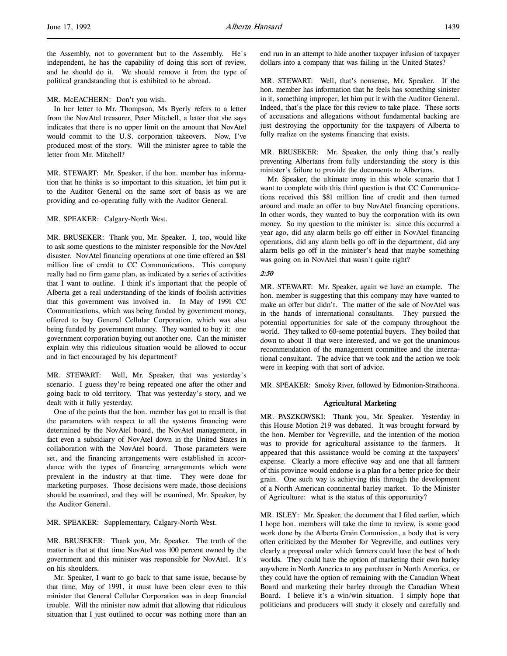the Assembly, not to government but to the Assembly. He's independent, he has the capability of doing this sort of review, and he should do it. We should remove it from the type of political grandstanding that is exhibited to be abroad.

#### MR. McEACHERN: Don't you wish.

In her letter to Mr. Thompson, Ms Byerly refers to a letter from the NovAtel treasurer, Peter Mitchell, a letter that she says indicates that there is no upper limit on the amount that NovAtel would commit to the U.S. corporation takeovers. Now, I've produced most of the story. Will the minister agree to table the letter from Mr. Mitchell?

MR. STEWART: Mr. Speaker, if the hon. member has information that he thinks is so important to this situation, let him put it to the Auditor General on the same sort of basis as we are providing and co-operating fully with the Auditor General.

### MR. SPEAKER: Calgary-North West.

MR. BRUSEKER: Thank you, Mr. Speaker. I, too, would like to ask some questions to the minister responsible for the NovAtel disaster. NovAtel financing operations at one time offered an \$81 million line of credit to CC Communications. This company really had no firm game plan, as indicated by a series of activities that I want to outline. I think it's important that the people of Alberta get a real understanding of the kinds of foolish activities that this government was involved in. In May of 1991 CC Communications, which was being funded by government money, offered to buy General Cellular Corporation, which was also being funded by government money. They wanted to buy it: one government corporation buying out another one. Can the minister explain why this ridiculous situation would be allowed to occur and in fact encouraged by his department?

MR. STEWART: Well, Mr. Speaker, that was yesterday's scenario. I guess they're being repeated one after the other and going back to old territory. That was yesterday's story, and we dealt with it fully yesterday.

One of the points that the hon. member has got to recall is that the parameters with respect to all the systems financing were determined by the NovAtel board, the NovAtel management, in fact even a subsidiary of NovAtel down in the United States in collaboration with the NovAtel board. Those parameters were set, and the financing arrangements were established in accordance with the types of financing arrangements which were prevalent in the industry at that time. They were done for marketing purposes. Those decisions were made, those decisions should be examined, and they will be examined, Mr. Speaker, by the Auditor General.

MR. SPEAKER: Supplementary, Calgary-North West.

MR. BRUSEKER: Thank you, Mr. Speaker. The truth of the matter is that at that time NovAtel was 100 percent owned by the government and this minister was responsible for NovAtel. It's on his shoulders.

Mr. Speaker, I want to go back to that same issue, because by that time, May of 1991, it must have been clear even to this minister that General Cellular Corporation was in deep financial trouble. Will the minister now admit that allowing that ridiculous situation that I just outlined to occur was nothing more than an

end run in an attempt to hide another taxpayer infusion of taxpayer dollars into a company that was failing in the United States?

MR. STEWART: Well, that's nonsense, Mr. Speaker. If the hon. member has information that he feels has something sinister in it, something improper, let him put it with the Auditor General. Indeed, that's the place for this review to take place. These sorts of accusations and allegations without fundamental backing are just destroying the opportunity for the taxpayers of Alberta to fully realize on the systems financing that exists.

MR. BRUSEKER: Mr. Speaker, the only thing that's really preventing Albertans from fully understanding the story is this minister's failure to provide the documents to Albertans.

Mr. Speaker, the ultimate irony in this whole scenario that I want to complete with this third question is that CC Communications received this \$81 million line of credit and then turned around and made an offer to buy NovAtel financing operations. In other words, they wanted to buy the corporation with its own money. So my question to the minister is: since this occurred a year ago, did any alarm bells go off either in NovAtel financing operations, did any alarm bells go off in the department, did any alarm bells go off in the minister's head that maybe something was going on in NovAtel that wasn't quite right?

#### 2:50

MR. STEWART: Mr. Speaker, again we have an example. The hon. member is suggesting that this company may have wanted to make an offer but didn't. The matter of the sale of NovAtel was in the hands of international consultants. They pursued the potential opportunities for sale of the company throughout the world. They talked to 60-some potential buyers. They boiled that down to about 11 that were interested, and we got the unanimous recommendation of the management committee and the international consultant. The advice that we took and the action we took were in keeping with that sort of advice.

MR. SPEAKER: Smoky River, followed by Edmonton-Strathcona.

#### Agricultural Marketing

MR. PASZKOWSKI: Thank you, Mr. Speaker. Yesterday in this House Motion 219 was debated. It was brought forward by the hon. Member for Vegreville, and the intention of the motion was to provide for agricultural assistance to the farmers. It appeared that this assistance would be coming at the taxpayers' expense. Clearly a more effective way and one that all farmers of this province would endorse is a plan for a better price for their grain. One such way is achieving this through the development of a North American continental barley market. To the Minister of Agriculture: what is the status of this opportunity?

MR. ISLEY: Mr. Speaker, the document that I filed earlier, which I hope hon. members will take the time to review, is some good work done by the Alberta Grain Commission, a body that is very often criticized by the Member for Vegreville, and outlines very clearly a proposal under which farmers could have the best of both worlds. They could have the option of marketing their own barley anywhere in North America to any purchaser in North America, or they could have the option of remaining with the Canadian Wheat Board and marketing their barley through the Canadian Wheat Board. I believe it's a win/win situation. I simply hope that politicians and producers will study it closely and carefully and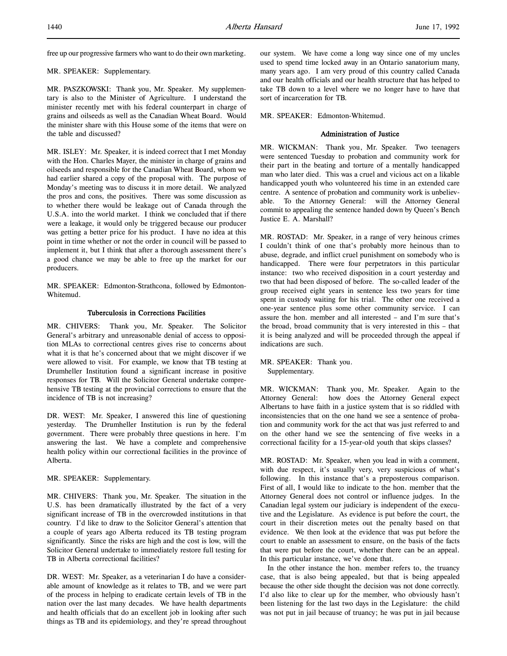free up our progressive farmers who want to do their own marketing.

## MR. SPEAKER: Supplementary.

MR. PASZKOWSKI: Thank you, Mr. Speaker. My supplementary is also to the Minister of Agriculture. I understand the minister recently met with his federal counterpart in charge of grains and oilseeds as well as the Canadian Wheat Board. Would the minister share with this House some of the items that were on the table and discussed?

MR. ISLEY: Mr. Speaker, it is indeed correct that I met Monday with the Hon. Charles Mayer, the minister in charge of grains and oilseeds and responsible for the Canadian Wheat Board, whom we had earlier shared a copy of the proposal with. The purpose of Monday's meeting was to discuss it in more detail. We analyzed the pros and cons, the positives. There was some discussion as to whether there would be leakage out of Canada through the U.S.A. into the world market. I think we concluded that if there were a leakage, it would only be triggered because our producer was getting a better price for his product. I have no idea at this point in time whether or not the order in council will be passed to implement it, but I think that after a thorough assessment there's a good chance we may be able to free up the market for our producers.

MR. SPEAKER: Edmonton-Strathcona, followed by Edmonton-Whitemud.

# Tuberculosis in Corrections Facilities

MR. CHIVERS: Thank you, Mr. Speaker. The Solicitor General's arbitrary and unreasonable denial of access to opposition MLAs to correctional centres gives rise to concerns about what it is that he's concerned about that we might discover if we were allowed to visit. For example, we know that TB testing at Drumheller Institution found a significant increase in positive responses for TB. Will the Solicitor General undertake comprehensive TB testing at the provincial corrections to ensure that the incidence of TB is not increasing?

DR. WEST: Mr. Speaker, I answered this line of questioning yesterday. The Drumheller Institution is run by the federal government. There were probably three questions in here. I'm answering the last. We have a complete and comprehensive health policy within our correctional facilities in the province of Alberta.

MR. SPEAKER: Supplementary.

MR. CHIVERS: Thank you, Mr. Speaker. The situation in the U.S. has been dramatically illustrated by the fact of a very significant increase of TB in the overcrowded institutions in that country. I'd like to draw to the Solicitor General's attention that a couple of years ago Alberta reduced its TB testing program significantly. Since the risks are high and the cost is low, will the Solicitor General undertake to immediately restore full testing for TB in Alberta correctional facilities?

DR. WEST: Mr. Speaker, as a veterinarian I do have a considerable amount of knowledge as it relates to TB, and we were part of the process in helping to eradicate certain levels of TB in the nation over the last many decades. We have health departments and health officials that do an excellent job in looking after such things as TB and its epidemiology, and they're spread throughout

our system. We have come a long way since one of my uncles used to spend time locked away in an Ontario sanatorium many, many years ago. I am very proud of this country called Canada and our health officials and our health structure that has helped to take TB down to a level where we no longer have to have that sort of incarceration for TB.

MR. SPEAKER: Edmonton-Whitemud.

# Administration of Justice

MR. WICKMAN: Thank you, Mr. Speaker. Two teenagers were sentenced Tuesday to probation and community work for their part in the beating and torture of a mentally handicapped man who later died. This was a cruel and vicious act on a likable handicapped youth who volunteered his time in an extended care centre. A sentence of probation and community work is unbelievable. To the Attorney General: will the Attorney General commit to appealing the sentence handed down by Queen's Bench Justice E. A. Marshall?

MR. ROSTAD: Mr. Speaker, in a range of very heinous crimes I couldn't think of one that's probably more heinous than to abuse, degrade, and inflict cruel punishment on somebody who is handicapped. There were four perpetrators in this particular instance: two who received disposition in a court yesterday and two that had been disposed of before. The so-called leader of the group received eight years in sentence less two years for time spent in custody waiting for his trial. The other one received a one-year sentence plus some other community service. I can assure the hon. member and all interested – and I'm sure that's the broad, broad community that is very interested in this – that it is being analyzed and will be proceeded through the appeal if indications are such.

MR. SPEAKER: Thank you. Supplementary.

MR. WICKMAN: Thank you, Mr. Speaker. Again to the Attorney General: how does the Attorney General expect Albertans to have faith in a justice system that is so riddled with inconsistencies that on the one hand we see a sentence of probation and community work for the act that was just referred to and on the other hand we see the sentencing of five weeks in a correctional facility for a 15-year-old youth that skips classes?

MR. ROSTAD: Mr. Speaker, when you lead in with a comment, with due respect, it's usually very, very suspicious of what's following. In this instance that's a preposterous comparison. First of all, I would like to indicate to the hon. member that the Attorney General does not control or influence judges. In the Canadian legal system our judiciary is independent of the executive and the Legislature. As evidence is put before the court, the court in their discretion metes out the penalty based on that evidence. We then look at the evidence that was put before the court to enable an assessment to ensure, on the basis of the facts that were put before the court, whether there can be an appeal. In this particular instance, we've done that.

In the other instance the hon. member refers to, the truancy case, that is also being appealed, but that is being appealed because the other side thought the decision was not done correctly. I'd also like to clear up for the member, who obviously hasn't been listening for the last two days in the Legislature: the child was not put in jail because of truancy; he was put in jail because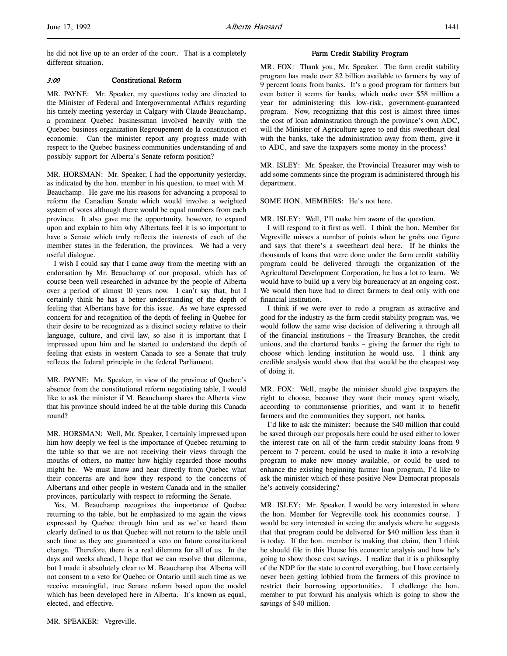he did not live up to an order of the court. That is a completely different situation.

# 3:00 Constitutional Reform

MR. PAYNE: Mr. Speaker, my questions today are directed to the Minister of Federal and Intergovernmental Affairs regarding his timely meeting yesterday in Calgary with Claude Beauchamp, a prominent Quebec businessman involved heavily with the Quebec business organization Regroupement de la constitution et economie. Can the minister report any progress made with respect to the Quebec business communities understanding of and possibly support for Alberta's Senate reform position?

MR. HORSMAN: Mr. Speaker, I had the opportunity yesterday, as indicated by the hon. member in his question, to meet with M. Beauchamp. He gave me his reasons for advancing a proposal to reform the Canadian Senate which would involve a weighted system of votes although there would be equal numbers from each province. It also gave me the opportunity, however, to expand upon and explain to him why Albertans feel it is so important to have a Senate which truly reflects the interests of each of the member states in the federation, the provinces. We had a very useful dialogue.

I wish I could say that I came away from the meeting with an endorsation by Mr. Beauchamp of our proposal, which has of course been well researched in advance by the people of Alberta over a period of almost 10 years now. I can't say that, but I certainly think he has a better understanding of the depth of feeling that Albertans have for this issue. As we have expressed concern for and recognition of the depth of feeling in Quebec for their desire to be recognized as a distinct society relative to their language, culture, and civil law, so also it is important that I impressed upon him and he started to understand the depth of feeling that exists in western Canada to see a Senate that truly reflects the federal principle in the federal Parliament.

MR. PAYNE: Mr. Speaker, in view of the province of Quebec's absence from the constitutional reform negotiating table, I would like to ask the minister if M. Beauchamp shares the Alberta view that his province should indeed be at the table during this Canada round?

MR. HORSMAN: Well, Mr. Speaker, I certainly impressed upon him how deeply we feel is the importance of Quebec returning to the table so that we are not receiving their views through the mouths of others, no matter how highly regarded those mouths might be. We must know and hear directly from Quebec what their concerns are and how they respond to the concerns of Albertans and other people in western Canada and in the smaller provinces, particularly with respect to reforming the Senate.

Yes, M. Beauchamp recognizes the importance of Quebec returning to the table, but he emphasized to me again the views expressed by Quebec through him and as we've heard them clearly defined to us that Quebec will not return to the table until such time as they are guaranteed a veto on future constitutional change. Therefore, there is a real dilemma for all of us. In the days and weeks ahead, I hope that we can resolve that dilemma, but I made it absolutely clear to M. Beauchamp that Alberta will not consent to a veto for Quebec or Ontario until such time as we receive meaningful, true Senate reform based upon the model which has been developed here in Alberta. It's known as equal, elected, and effective.

# Farm Credit Stability Program

MR. FOX: Thank you, Mr. Speaker. The farm credit stability program has made over \$2 billion available to farmers by way of 9 percent loans from banks. It's a good program for farmers but even better it seems for banks, which make over \$58 million a year for administering this low-risk, government-guaranteed program. Now, recognizing that this cost is almost three times the cost of loan adminstration through the province's own ADC, will the Minister of Agriculture agree to end this sweetheart deal with the banks, take the administration away from them, give it to ADC, and save the taxpayers some money in the process?

MR. ISLEY: Mr. Speaker, the Provincial Treasurer may wish to add some comments since the program is administered through his department.

## SOME HON. MEMBERS: He's not here.

MR. ISLEY: Well, I'll make him aware of the question.

I will respond to it first as well. I think the hon. Member for Vegreville misses a number of points when he grabs one figure and says that there's a sweetheart deal here. If he thinks the thousands of loans that were done under the farm credit stability program could be delivered through the organization of the Agricultural Development Corporation, he has a lot to learn. We would have to build up a very big bureaucracy at an ongoing cost. We would then have had to direct farmers to deal only with one financial institution.

I think if we were ever to redo a program as attractive and good for the industry as the farm credit stability program was, we would follow the same wise decision of delivering it through all of the financial institutions – the Treasury Branches, the credit unions, and the chartered banks – giving the farmer the right to choose which lending institution he would use. I think any credible analysis would show that that would be the cheapest way of doing it.

MR. FOX: Well, maybe the minister should give taxpayers the right to choose, because they want their money spent wisely, according to commonsense priorities, and want it to benefit farmers and the communities they support, not banks.

I'd like to ask the minister: because the \$40 million that could be saved through our proposals here could be used either to lower the interest rate on all of the farm credit stability loans from 9 percent to 7 percent, could be used to make it into a revolving program to make new money available, or could be used to enhance the existing beginning farmer loan program, I'd like to ask the minister which of these positive New Democrat proposals he's actively considering?

MR. ISLEY: Mr. Speaker, I would be very interested in where the hon. Member for Vegreville took his economics course. I would be very interested in seeing the analysis where he suggests that that program could be delivered for \$40 million less than it is today. If the hon. member is making that claim, then I think he should file in this House his economic analysis and how he's going to show those cost savings. I realize that it is a philosophy of the NDP for the state to control everything, but I have certainly never been getting lobbied from the farmers of this province to restrict their borrowing opportunities. I challenge the hon. member to put forward his analysis which is going to show the savings of \$40 million.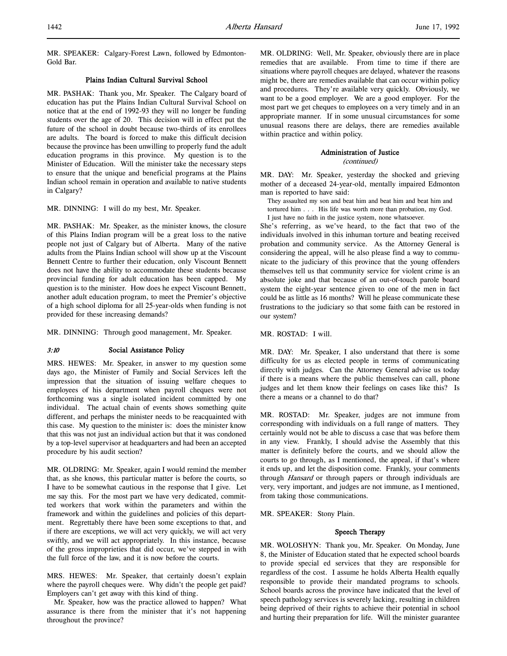MR. SPEAKER: Calgary-Forest Lawn, followed by Edmonton-Gold Bar.

# Plains Indian Cultural Survival School

MR. PASHAK: Thank you, Mr. Speaker. The Calgary board of education has put the Plains Indian Cultural Survival School on notice that at the end of 1992-93 they will no longer be funding students over the age of 20. This decision will in effect put the future of the school in doubt because two-thirds of its enrollees are adults. The board is forced to make this difficult decision because the province has been unwilling to properly fund the adult education programs in this province. My question is to the Minister of Education. Will the minister take the necessary steps to ensure that the unique and beneficial programs at the Plains Indian school remain in operation and available to native students in Calgary?

MR. DINNING: I will do my best, Mr. Speaker.

MR. PASHAK: Mr. Speaker, as the minister knows, the closure of this Plains Indian program will be a great loss to the native people not just of Calgary but of Alberta. Many of the native adults from the Plains Indian school will show up at the Viscount Bennett Centre to further their education, only Viscount Bennett does not have the ability to accommodate these students because provincial funding for adult education has been capped. My question is to the minister. How does he expect Viscount Bennett, another adult education program, to meet the Premier's objective of a high school diploma for all 25-year-olds when funding is not provided for these increasing demands?

MR. DINNING: Through good management, Mr. Speaker.

# 3:10 Social Assistance Policy

MRS. HEWES: Mr. Speaker, in answer to my question some days ago, the Minister of Family and Social Services left the impression that the situation of issuing welfare cheques to employees of his department when payroll cheques were not forthcoming was a single isolated incident committed by one individual. The actual chain of events shows something quite different, and perhaps the minister needs to be reacquainted with this case. My question to the minister is: does the minister know that this was not just an individual action but that it was condoned by a top-level supervisor at headquarters and had been an accepted procedure by his audit section?

MR. OLDRING: Mr. Speaker, again I would remind the member that, as she knows, this particular matter is before the courts, so I have to be somewhat cautious in the response that I give. Let me say this. For the most part we have very dedicated, committed workers that work within the parameters and within the framework and within the guidelines and policies of this department. Regrettably there have been some exceptions to that, and if there are exceptions, we will act very quickly, we will act very swiftly, and we will act appropriately. In this instance, because of the gross improprieties that did occur, we've stepped in with the full force of the law, and it is now before the courts.

MRS. HEWES: Mr. Speaker, that certainly doesn't explain where the payroll cheques were. Why didn't the people get paid? Employers can't get away with this kind of thing.

Mr. Speaker, how was the practice allowed to happen? What assurance is there from the minister that it's not happening throughout the province?

MR. OLDRING: Well, Mr. Speaker, obviously there are in place remedies that are available. From time to time if there are situations where payroll cheques are delayed, whatever the reasons might be, there are remedies available that can occur within policy and procedures. They're available very quickly. Obviously, we want to be a good employer. We are a good employer. For the most part we get cheques to employees on a very timely and in an appropriate manner. If in some unusual circumstances for some unusual reasons there are delays, there are remedies available within practice and within policy.

# Administration of Justice

(continued)

MR. DAY: Mr. Speaker, yesterday the shocked and grieving mother of a deceased 24-year-old, mentally impaired Edmonton man is reported to have said:

They assaulted my son and beat him and beat him and beat him and tortured him . . . His life was worth more than probation, my God.

I just have no faith in the justice system, none whatsoever.

She's referring, as we've heard, to the fact that two of the individuals involved in this inhuman torture and beating received probation and community service. As the Attorney General is considering the appeal, will he also please find a way to communicate to the judiciary of this province that the young offenders themselves tell us that community service for violent crime is an absolute joke and that because of an out-of-touch parole board system the eight-year sentence given to one of the men in fact could be as little as 16 months? Will he please communicate these frustrations to the judiciary so that some faith can be restored in our system?

MR. ROSTAD: I will.

MR. DAY: Mr. Speaker, I also understand that there is some difficulty for us as elected people in terms of communicating directly with judges. Can the Attorney General advise us today if there is a means where the public themselves can call, phone judges and let them know their feelings on cases like this? Is there a means or a channel to do that?

MR. ROSTAD: Mr. Speaker, judges are not immune from corresponding with individuals on a full range of matters. They certainly would not be able to discuss a case that was before them in any view. Frankly, I should advise the Assembly that this matter is definitely before the courts, and we should allow the courts to go through, as I mentioned, the appeal, if that's where it ends up, and let the disposition come. Frankly, your comments through Hansard or through papers or through individuals are very, very important, and judges are not immune, as I mentioned, from taking those communications.

MR. SPEAKER: Stony Plain.

# Speech Therapy

MR. WOLOSHYN: Thank you, Mr. Speaker. On Monday, June 8, the Minister of Education stated that he expected school boards to provide special ed services that they are responsible for regardless of the cost. I assume he holds Alberta Health equally responsible to provide their mandated programs to schools. School boards across the province have indicated that the level of speech pathology services is severely lacking, resulting in children being deprived of their rights to achieve their potential in school and hurting their preparation for life. Will the minister guarantee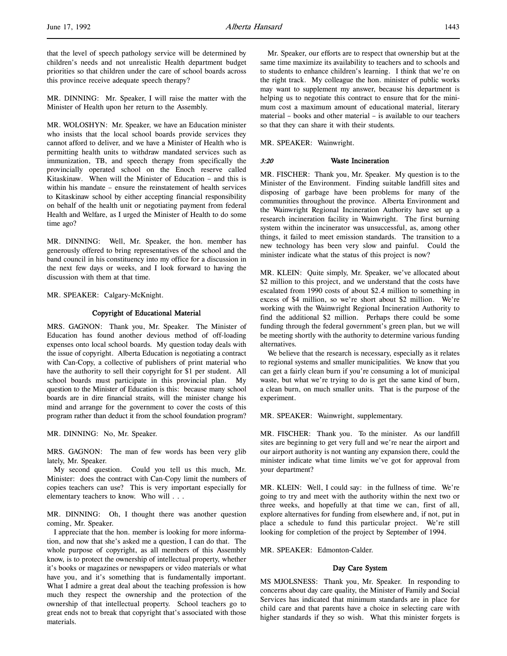MR. DINNING: Mr. Speaker, I will raise the matter with the Minister of Health upon her return to the Assembly.

MR. WOLOSHYN: Mr. Speaker, we have an Education minister who insists that the local school boards provide services they cannot afford to deliver, and we have a Minister of Health who is permitting health units to withdraw mandated services such as immunization, TB, and speech therapy from specifically the provincially operated school on the Enoch reserve called Kitaskinaw. When will the Minister of Education – and this is within his mandate – ensure the reinstatement of health services to Kitaskinaw school by either accepting financial responsibility on behalf of the health unit or negotiating payment from federal Health and Welfare, as I urged the Minister of Health to do some time ago?

MR. DINNING: Well, Mr. Speaker, the hon. member has generously offered to bring representatives of the school and the band council in his constituency into my office for a discussion in the next few days or weeks, and I look forward to having the discussion with them at that time.

MR. SPEAKER: Calgary-McKnight.

### Copyright of Educational Material

MRS. GAGNON: Thank you, Mr. Speaker. The Minister of Education has found another devious method of off-loading expenses onto local school boards. My question today deals with the issue of copyright. Alberta Education is negotiating a contract with Can-Copy, a collective of publishers of print material who have the authority to sell their copyright for \$1 per student. All school boards must participate in this provincial plan. My question to the Minister of Education is this: because many school boards are in dire financial straits, will the minister change his mind and arrange for the government to cover the costs of this program rather than deduct it from the school foundation program?

MR. DINNING: No, Mr. Speaker.

MRS. GAGNON: The man of few words has been very glib lately, Mr. Speaker.

My second question. Could you tell us this much, Mr. Minister: does the contract with Can-Copy limit the numbers of copies teachers can use? This is very important especially for elementary teachers to know. Who will . . .

MR. DINNING: Oh, I thought there was another question coming, Mr. Speaker.

I appreciate that the hon. member is looking for more information, and now that she's asked me a question, I can do that. The whole purpose of copyright, as all members of this Assembly know, is to protect the ownership of intellectual property, whether it's books or magazines or newspapers or video materials or what have you, and it's something that is fundamentally important. What I admire a great deal about the teaching profession is how much they respect the ownership and the protection of the ownership of that intellectual property. School teachers go to great ends not to break that copyright that's associated with those materials.

Mr. Speaker, our efforts are to respect that ownership but at the same time maximize its availability to teachers and to schools and to students to enhance children's learning. I think that we're on the right track. My colleague the hon. minister of public works may want to supplement my answer, because his department is helping us to negotiate this contract to ensure that for the minimum cost a maximum amount of educational material, literary material – books and other material – is available to our teachers so that they can share it with their students.

MR. SPEAKER: Wainwright.

#### 3:20 Waste Incineration

MR. FISCHER: Thank you, Mr. Speaker. My question is to the Minister of the Environment. Finding suitable landfill sites and disposing of garbage have been problems for many of the communities throughout the province. Alberta Environment and the Wainwright Regional Incineration Authority have set up a research incineration facility in Wainwright. The first burning system within the incinerator was unsuccessful, as, among other things, it failed to meet emission standards. The transition to a new technology has been very slow and painful. Could the minister indicate what the status of this project is now?

MR. KLEIN: Quite simply, Mr. Speaker, we've allocated about \$2 million to this project, and we understand that the costs have escalated from 1990 costs of about \$2.4 million to something in excess of \$4 million, so we're short about \$2 million. We're working with the Wainwright Regional Incineration Authority to find the additional \$2 million. Perhaps there could be some funding through the federal government's green plan, but we will be meeting shortly with the authority to determine various funding alternatives.

We believe that the research is necessary, especially as it relates to regional systems and smaller municipalities. We know that you can get a fairly clean burn if you're consuming a lot of municipal waste, but what we're trying to do is get the same kind of burn, a clean burn, on much smaller units. That is the purpose of the experiment.

MR. SPEAKER: Wainwright, supplementary.

MR. FISCHER: Thank you. To the minister. As our landfill sites are beginning to get very full and we're near the airport and our airport authority is not wanting any expansion there, could the minister indicate what time limits we've got for approval from your department?

MR. KLEIN: Well, I could say: in the fullness of time. We're going to try and meet with the authority within the next two or three weeks, and hopefully at that time we can, first of all, explore alternatives for funding from elsewhere and, if not, put in place a schedule to fund this particular project. We're still looking for completion of the project by September of 1994.

MR. SPEAKER: Edmonton-Calder.

### Day Care System

MS MJOLSNESS: Thank you, Mr. Speaker. In responding to concerns about day care quality, the Minister of Family and Social Services has indicated that minimum standards are in place for child care and that parents have a choice in selecting care with higher standards if they so wish. What this minister forgets is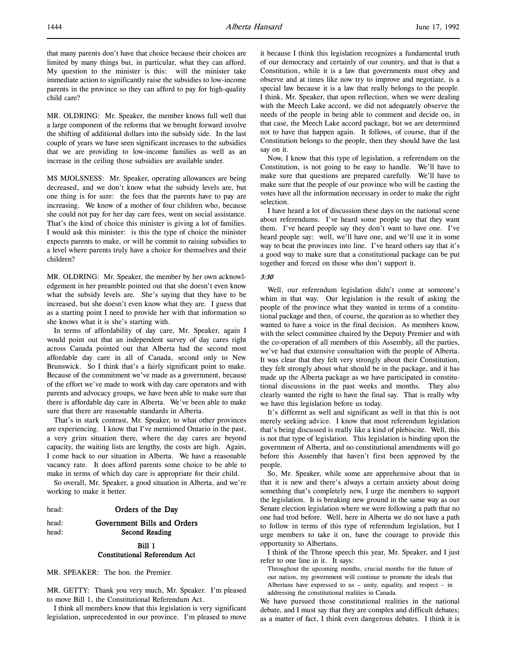MR. OLDRING: Mr. Speaker, the member knows full well that a large component of the reforms that we brought forward involve the shifting of additional dollars into the subsidy side. In the last couple of years we have seen significant increases to the subsidies that we are providing to low-income families as well as an increase in the ceiling those subsidies are available under.

MS MJOLSNESS: Mr. Speaker, operating allowances are being decreased, and we don't know what the subsidy levels are, but one thing is for sure: the fees that the parents have to pay are increasing. We know of a mother of four children who, because she could not pay for her day care fees, went on social assistance. That's the kind of choice this minister is giving a lot of families. I would ask this minister: is this the type of choice the minister expects parents to make, or will he commit to raising subsidies to a level where parents truly have a choice for themselves and their children?

MR. OLDRING: Mr. Speaker, the member by her own acknowledgement in her preamble pointed out that she doesn't even know what the subsidy levels are. She's saying that they have to be increased, but she doesn't even know what they are. I guess that as a starting point I need to provide her with that information so she knows what it is she's starting with.

In terms of affordability of day care, Mr. Speaker, again I would point out that an independent survey of day cares right across Canada pointed out that Alberta had the second most affordable day care in all of Canada, second only to New Brunswick. So I think that's a fairly significant point to make. Because of the commitment we've made as a government, because of the effort we've made to work with day care operators and with parents and advocacy groups, we have been able to make sure that there is affordable day care in Alberta. We've been able to make sure that there are reasonable standards in Alberta.

That's in stark contrast, Mr. Speaker, to what other provinces are experiencing. I know that I've mentioned Ontario in the past, a very grim situation there, where the day cares are beyond capacity, the waiting lists are lengthy, the costs are high. Again, I come back to our situation in Alberta. We have a reasonable vacancy rate. It does afford parents some choice to be able to make in terms of which day care is appropriate for their child.

So overall, Mr. Speaker, a good situation in Alberta, and we're working to make it better.

|  | Orders of the Day |
|--|-------------------|

# head: Government Bills and Orders head: Second Reading

# Bill 1 Constitutional Referendum Act

MR. SPEAKER: The hon. the Premier.

MR. GETTY: Thank you very much, Mr. Speaker. I'm pleased to move Bill 1, the Constitutional Referendum Act.

I think all members know that this legislation is very significant legislation, unprecedented in our province. I'm pleased to move

it because I think this legislation recognizes a fundamental truth of our democracy and certainly of our country, and that is that a Constitution, while it is a law that governments must obey and observe and at times like now try to improve and negotiate, is a special law because it is a law that really belongs to the people. I think, Mr. Speaker, that upon reflection, when we were dealing with the Meech Lake accord, we did not adequately observe the needs of the people in being able to comment and decide on, in that case, the Meech Lake accord package, but we are determined not to have that happen again. It follows, of course, that if the Constitution belongs to the people, then they should have the last say on it.

Now, I know that this type of legislation, a referendum on the Constitution, is not going to be easy to handle. We'll have to make sure that questions are prepared carefully. We'll have to make sure that the people of our province who will be casting the votes have all the information necessary in order to make the right selection.

I have heard a lot of discussion these days on the national scene about referendums. I've heard some people say that they want them. I've heard people say they don't want to have one. I've heard people say: well, we'll have one, and we'll use it in some way to beat the provinces into line. I've heard others say that it's a good way to make sure that a constitutional package can be put together and forced on those who don't support it.

## 3:30

Well, our referendum legislation didn't come at someone's whim in that way. Our legislation is the result of asking the people of the province what they wanted in terms of a constitutional package and then, of course, the question as to whether they wanted to have a voice in the final decision. As members know, with the select committee chaired by the Deputy Premier and with the co-operation of all members of this Assembly, all the parties, we've had that extensive consultation with the people of Alberta. It was clear that they felt very strongly about their Constitution, they felt strongly about what should be in the package, and it has made up the Alberta package as we have participated in constitutional discussions in the past weeks and months. They also clearly wanted the right to have the final say. That is really why we have this legislation before us today.

It's different as well and significant as well in that this is not merely seeking advice. I know that most referendum legislation that's being discussed is really like a kind of plebiscite. Well, this is not that type of legislation. This legislation is binding upon the government of Alberta, and no constitutional amendments will go before this Assembly that haven't first been approved by the people.

So, Mr. Speaker, while some are apprehensive about that in that it is new and there's always a certain anxiety about doing something that's completely new, I urge the members to support the legislation. It is breaking new ground in the same way as our Senate election legislation where we were following a path that no one had trod before. Well, here in Alberta we do not have a path to follow in terms of this type of referendum legislation, but I urge members to take it on, have the courage to provide this opportunity to Albertans.

I think of the Throne speech this year, Mr. Speaker, and I just refer to one line in it. It says:

Throughout the upcoming months, crucial months for the future of our nation, my government will continue to promote the ideals that Albertans have expressed to us – unity, equality, and respect – in addressing the constitutional realities in Canada.

We have pursued those constitutional realities in the national debate, and I must say that they are complex and difficult debates; as a matter of fact, I think even dangerous debates. I think it is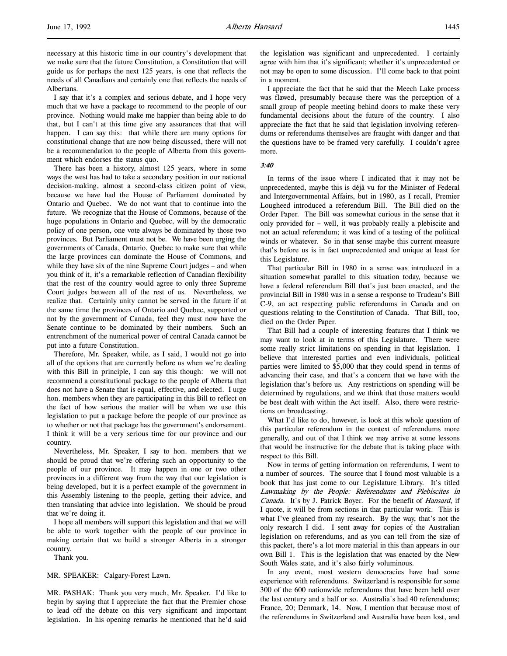necessary at this historic time in our country's development that we make sure that the future Constitution, a Constitution that will guide us for perhaps the next 125 years, is one that reflects the needs of all Canadians and certainly one that reflects the needs of Albertans.

I say that it's a complex and serious debate, and I hope very much that we have a package to recommend to the people of our province. Nothing would make me happier than being able to do that, but I can't at this time give any assurances that that will happen. I can say this: that while there are many options for constitutional change that are now being discussed, there will not be a recommendation to the people of Alberta from this government which endorses the status quo.

There has been a history, almost 125 years, where in some ways the west has had to take a secondary position in our national decision-making, almost a second-class citizen point of view, because we have had the House of Parliament dominated by Ontario and Quebec. We do not want that to continue into the future. We recognize that the House of Commons, because of the huge populations in Ontario and Quebec, will by the democratic policy of one person, one vote always be dominated by those two provinces. But Parliament must not be. We have been urging the governments of Canada, Ontario, Quebec to make sure that while the large provinces can dominate the House of Commons, and while they have six of the nine Supreme Court judges – and when you think of it, it's a remarkable reflection of Canadian flexibility that the rest of the country would agree to only three Supreme Court judges between all of the rest of us. Nevertheless, we realize that. Certainly unity cannot be served in the future if at the same time the provinces of Ontario and Quebec, supported or not by the government of Canada, feel they must now have the Senate continue to be dominated by their numbers. Such an entrenchment of the numerical power of central Canada cannot be put into a future Constitution.

Therefore, Mr. Speaker, while, as I said, I would not go into all of the options that are currently before us when we're dealing with this Bill in principle, I can say this though: we will not recommend a constitutional package to the people of Alberta that does not have a Senate that is equal, effective, and elected. I urge hon. members when they are participating in this Bill to reflect on the fact of how serious the matter will be when we use this legislation to put a package before the people of our province as to whether or not that package has the government's endorsement. I think it will be a very serious time for our province and our country.

Nevertheless, Mr. Speaker, I say to hon. members that we should be proud that we're offering such an opportunity to the people of our province. It may happen in one or two other provinces in a different way from the way that our legislation is being developed, but it is a perfect example of the government in this Assembly listening to the people, getting their advice, and then translating that advice into legislation. We should be proud that we're doing it.

I hope all members will support this legislation and that we will be able to work together with the people of our province in making certain that we build a stronger Alberta in a stronger country.

Thank you.

MR. SPEAKER: Calgary-Forest Lawn.

MR. PASHAK: Thank you very much, Mr. Speaker. I'd like to begin by saying that I appreciate the fact that the Premier chose to lead off the debate on this very significant and important legislation. In his opening remarks he mentioned that he'd said

the legislation was significant and unprecedented. I certainly agree with him that it's significant; whether it's unprecedented or not may be open to some discussion. I'll come back to that point in a moment.

I appreciate the fact that he said that the Meech Lake process was flawed, presumably because there was the perception of a small group of people meeting behind doors to make these very fundamental decisions about the future of the country. I also appreciate the fact that he said that legislation involving referendums or referendums themselves are fraught with danger and that the questions have to be framed very carefully. I couldn't agree more.

3:40

In terms of the issue where I indicated that it may not be unprecedented, maybe this is déjà vu for the Minister of Federal and Intergovernmental Affairs, but in 1980, as I recall, Premier Lougheed introduced a referendum Bill. The Bill died on the Order Paper. The Bill was somewhat curious in the sense that it only provided for – well, it was probably really a plebiscite and not an actual referendum; it was kind of a testing of the political winds or whatever. So in that sense maybe this current measure that's before us is in fact unprecedented and unique at least for this Legislature.

That particular Bill in 1980 in a sense was introduced in a situation somewhat parallel to this situation today, because we have a federal referendum Bill that's just been enacted, and the provincial Bill in 1980 was in a sense a response to Trudeau's Bill C-9, an act respecting public referendums in Canada and on questions relating to the Constitution of Canada. That Bill, too, died on the Order Paper.

That Bill had a couple of interesting features that I think we may want to look at in terms of this Legislature. There were some really strict limitations on spending in that legislation. I believe that interested parties and even individuals, political parties were limited to \$5,000 that they could spend in terms of advancing their case, and that's a concern that we have with the legislation that's before us. Any restrictions on spending will be determined by regulations, and we think that those matters would be best dealt with within the Act itself. Also, there were restrictions on broadcasting.

What I'd like to do, however, is look at this whole question of this particular referendum in the context of referendums more generally, and out of that I think we may arrive at some lessons that would be instructive for the debate that is taking place with respect to this Bill.

Now in terms of getting information on referendums, I went to a number of sources. The source that I found most valuable is a book that has just come to our Legislature Library. It's titled Lawmaking by the People: Referendums and Plebiscites in Canada. It's by J. Patrick Boyer. For the benefit of Hansard, if I quote, it will be from sections in that particular work. This is what I've gleaned from my research. By the way, that's not the only research I did. I sent away for copies of the Australian legislation on referendums, and as you can tell from the size of this packet, there's a lot more material in this than appears in our own Bill 1. This is the legislation that was enacted by the New South Wales state, and it's also fairly voluminous.

In any event, most western democracies have had some experience with referendums. Switzerland is responsible for some 300 of the 600 nationwide referendums that have been held over the last century and a half or so. Australia's had 40 referendums; France, 20; Denmark, 14. Now, I mention that because most of the referendums in Switzerland and Australia have been lost, and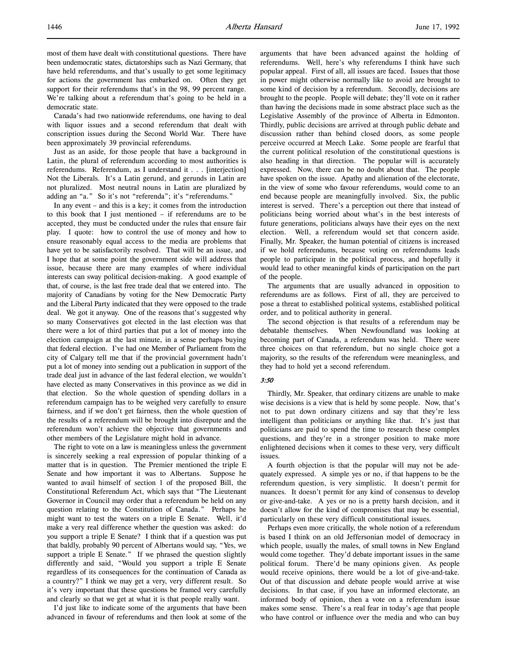most of them have dealt with constitutional questions. There have been undemocratic states, dictatorships such as Nazi Germany, that have held referendums, and that's usually to get some legitimacy for actions the government has embarked on. Often they get support for their referendums that's in the 98, 99 percent range. We're talking about a referendum that's going to be held in a democratic state.

Canada's had two nationwide referendums, one having to deal with liquor issues and a second referendum that dealt with conscription issues during the Second World War. There have been approximately 39 provincial referendums.

Just as an aside, for those people that have a background in Latin, the plural of referendum according to most authorities is referendums. Referendum, as I understand it . . . [interjection] Not the Liberals. It's a Latin gerund, and gerunds in Latin are not pluralized. Most neutral nouns in Latin are pluralized by adding an "a." So it's not "referenda"; it's "referendums."

In any event – and this is a key; it comes from the introduction to this book that I just mentioned – if referendums are to be accepted, they must be conducted under the rules that ensure fair play. I quote: how to control the use of money and how to ensure reasonably equal access to the media are problems that have yet to be satisfactorily resolved. That will be an issue, and I hope that at some point the government side will address that issue, because there are many examples of where individual interests can sway political decision-making. A good example of that, of course, is the last free trade deal that we entered into. The majority of Canadians by voting for the New Democratic Party and the Liberal Party indicated that they were opposed to the trade deal. We got it anyway. One of the reasons that's suggested why so many Conservatives got elected in the last election was that there were a lot of third parties that put a lot of money into the election campaign at the last minute, in a sense perhaps buying that federal election. I've had one Member of Parliament from the city of Calgary tell me that if the provincial government hadn't put a lot of money into sending out a publication in support of the trade deal just in advance of the last federal election, we wouldn't have elected as many Conservatives in this province as we did in that election. So the whole question of spending dollars in a referendum campaign has to be weighed very carefully to ensure fairness, and if we don't get fairness, then the whole question of the results of a referendum will be brought into disrepute and the referendum won't achieve the objective that governments and other members of the Legislature might hold in advance.

The right to vote on a law is meaningless unless the government is sincerely seeking a real expression of popular thinking of a matter that is in question. The Premier mentioned the triple E Senate and how important it was to Albertans. Suppose he wanted to avail himself of section 1 of the proposed Bill, the Constitutional Referendum Act, which says that "The Lieutenant Governor in Council may order that a referendum be held on any question relating to the Constitution of Canada." Perhaps he might want to test the waters on a triple E Senate. Well, it'd make a very real difference whether the question was asked: do you support a triple E Senate? I think that if a question was put that baldly, probably 90 percent of Albertans would say, "Yes, we support a triple E Senate." If we phrased the question slightly differently and said, "Would you support a triple E Senate regardless of its consequences for the continuation of Canada as a country?" I think we may get a very, very different result. So it's very important that these questions be framed very carefully and clearly so that we get at what it is that people really want.

I'd just like to indicate some of the arguments that have been advanced in favour of referendums and then look at some of the arguments that have been advanced against the holding of referendums. Well, here's why referendums I think have such popular appeal. First of all, all issues are faced. Issues that those in power might otherwise normally like to avoid are brought to some kind of decision by a referendum. Secondly, decisions are brought to the people. People will debate; they'll vote on it rather than having the decisions made in some abstract place such as the Legislative Assembly of the province of Alberta in Edmonton. Thirdly, public decisions are arrived at through public debate and discussion rather than behind closed doors, as some people perceive occurred at Meech Lake. Some people are fearful that the current political resolution of the constitutional questions is also heading in that direction. The popular will is accurately expressed. Now, there can be no doubt about that. The people have spoken on the issue. Apathy and alienation of the electorate, in the view of some who favour referendums, would come to an end because people are meaningfully involved. Six, the public interest is served. There's a perception out there that instead of politicians being worried about what's in the best interests of future generations, politicians always have their eyes on the next election. Well, a referendum would set that concern aside. Finally, Mr. Speaker, the human potential of citizens is increased if we hold referendums, because voting on referendums leads people to participate in the political process, and hopefully it would lead to other meaningful kinds of participation on the part of the people.

The arguments that are usually advanced in opposition to referendums are as follows. First of all, they are perceived to pose a threat to established political systems, established political order, and to political authority in general.

The second objection is that results of a referendum may be debatable themselves. When Newfoundland was looking at becoming part of Canada, a referendum was held. There were three choices on that referendum, but no single choice got a majority, so the results of the referendum were meaningless, and they had to hold yet a second referendum.

#### 3:50

Thirdly, Mr. Speaker, that ordinary citizens are unable to make wise decisions is a view that is held by some people. Now, that's not to put down ordinary citizens and say that they're less intelligent than politicians or anything like that. It's just that politicians are paid to spend the time to research these complex questions, and they're in a stronger position to make more enlightened decisions when it comes to these very, very difficult issues.

A fourth objection is that the popular will may not be adequately expressed. A simple yes or no, if that happens to be the referendum question, is very simplistic. It doesn't permit for nuances. It doesn't permit for any kind of consensus to develop or give-and-take. A yes or no is a pretty harsh decision, and it doesn't allow for the kind of compromises that may be essential, particularly on these very difficult constitutional issues.

Perhaps even more critically, the whole notion of a referendum is based I think on an old Jeffersonian model of democracy in which people, usually the males, of small towns in New England would come together. They'd debate important issues in the same political forum. There'd be many opinions given. As people would receive opinions, there would be a lot of give-and-take. Out of that discussion and debate people would arrive at wise decisions. In that case, if you have an informed electorate, an informed body of opinion, then a vote on a referendum issue makes some sense. There's a real fear in today's age that people who have control or influence over the media and who can buy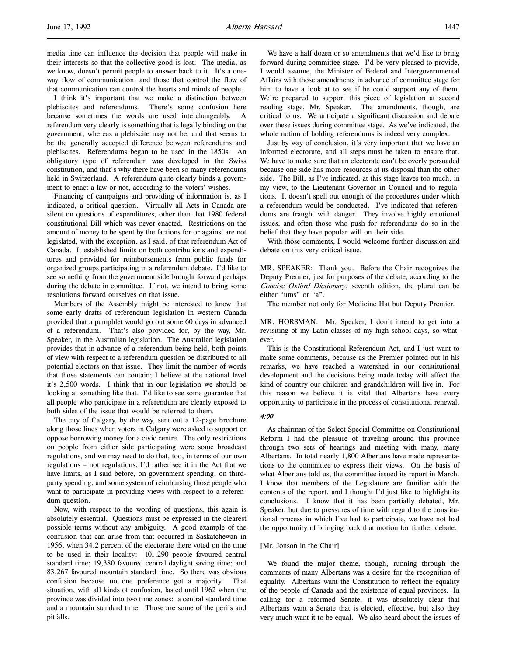media time can influence the decision that people will make in their interests so that the collective good is lost. The media, as we know, doesn't permit people to answer back to it. It's a oneway flow of communication, and those that control the flow of that communication can control the hearts and minds of people.

I think it's important that we make a distinction between plebiscites and referendums. There's some confusion here because sometimes the words are used interchangeably. A referendum very clearly is something that is legally binding on the government, whereas a plebiscite may not be, and that seems to be the generally accepted difference between referendums and plebiscites. Referendums began to be used in the 1850s. An obligatory type of referendum was developed in the Swiss constitution, and that's why there have been so many referendums held in Switzerland. A referendum quite clearly binds a government to enact a law or not, according to the voters' wishes.

Financing of campaigns and providing of information is, as I indicated, a critical question. Virtually all Acts in Canada are silent on questions of expenditures, other than that 1980 federal constitutional Bill which was never enacted. Restrictions on the amount of money to be spent by the factions for or against are not legislated, with the exception, as I said, of that referendum Act of Canada. It established limits on both contributions and expenditures and provided for reimbursements from public funds for organized groups participating in a referendum debate. I'd like to see something from the government side brought forward perhaps during the debate in committee. If not, we intend to bring some resolutions forward ourselves on that issue.

Members of the Assembly might be interested to know that some early drafts of referendum legislation in western Canada provided that a pamphlet would go out some 60 days in advanced of a referendum. That's also provided for, by the way, Mr. Speaker, in the Australian legislation. The Australian legislation provides that in advance of a referendum being held, both points of view with respect to a referendum question be distributed to all potential electors on that issue. They limit the number of words that those statements can contain; I believe at the national level it's 2,500 words. I think that in our legislation we should be looking at something like that. I'd like to see some guarantee that all people who participate in a referendum are clearly exposed to both sides of the issue that would be referred to them.

The city of Calgary, by the way, sent out a 12-page brochure along those lines when voters in Calgary were asked to support or oppose borrowing money for a civic centre. The only restrictions on people from either side participating were some broadcast regulations, and we may need to do that, too, in terms of our own regulations – not regulations; I'd rather see it in the Act that we have limits, as I said before, on government spending, on thirdparty spending, and some system of reimbursing those people who want to participate in providing views with respect to a referendum question.

Now, with respect to the wording of questions, this again is absolutely essential. Questions must be expressed in the clearest possible terms without any ambiguity. A good example of the confusion that can arise from that occurred in Saskatchewan in 1956, when 34.2 percent of the electorate there voted on the time to be used in their locality: 101,290 people favoured central standard time; 19,380 favoured central daylight saving time; and 83,267 favoured mountain standard time. So there was obvious confusion because no one preference got a majority. That situation, with all kinds of confusion, lasted until 1962 when the province was divided into two time zones: a central standard time and a mountain standard time. Those are some of the perils and pitfalls.

We have a half dozen or so amendments that we'd like to bring forward during committee stage. I'd be very pleased to provide, I would assume, the Minister of Federal and Intergovernmental Affairs with those amendments in advance of committee stage for him to have a look at to see if he could support any of them. We're prepared to support this piece of legislation at second reading stage, Mr. Speaker. The amendments, though, are critical to us. We anticipate a significant discussion and debate over these issues during committee stage. As we've indicated, the whole notion of holding referendums is indeed very complex.

Just by way of conclusion, it's very important that we have an informed electorate, and all steps must be taken to ensure that. We have to make sure that an electorate can't be overly persuaded because one side has more resources at its disposal than the other side. The Bill, as I've indicated, at this stage leaves too much, in my view, to the Lieutenant Governor in Council and to regulations. It doesn't spell out enough of the procedures under which a referendum would be conducted. I've indicated that referendums are fraught with danger. They involve highly emotional issues, and often those who push for referendums do so in the belief that they have popular will on their side.

With those comments, I would welcome further discussion and debate on this very critical issue.

MR. SPEAKER: Thank you. Before the Chair recognizes the Deputy Premier, just for purposes of the debate, according to the Concise Oxford Dictionary, seventh edition, the plural can be either "ums" or "a".

The member not only for Medicine Hat but Deputy Premier.

MR. HORSMAN: Mr. Speaker, I don't intend to get into a revisiting of my Latin classes of my high school days, so whatever.

This is the Constitutional Referendum Act, and I just want to make some comments, because as the Premier pointed out in his remarks, we have reached a watershed in our constitutional development and the decisions being made today will affect the kind of country our children and grandchildren will live in. For this reason we believe it is vital that Albertans have every opportunity to participate in the process of constitutional renewal.

## 4:00

As chairman of the Select Special Committee on Constitutional Reform I had the pleasure of traveling around this province through two sets of hearings and meeting with many, many Albertans. In total nearly 1,800 Albertans have made representations to the committee to express their views. On the basis of what Albertans told us, the committee issued its report in March. I know that members of the Legislature are familiar with the contents of the report, and I thought I'd just like to highlight its conclusions. I know that it has been partially debated, Mr. Speaker, but due to pressures of time with regard to the constitutional process in which I've had to participate, we have not had the opportunity of bringing back that motion for further debate.

### [Mr. Jonson in the Chair]

We found the major theme, though, running through the comments of many Albertans was a desire for the recognition of equality. Albertans want the Constitution to reflect the equality of the people of Canada and the existence of equal provinces. In calling for a reformed Senate, it was absolutely clear that Albertans want a Senate that is elected, effective, but also they very much want it to be equal. We also heard about the issues of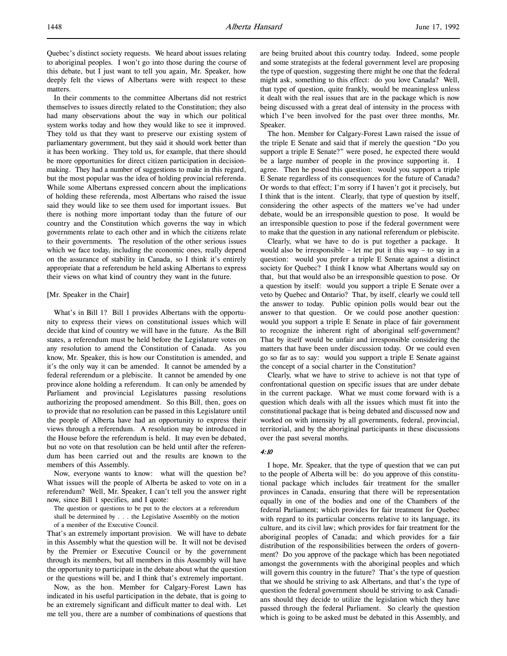Quebec's distinct society requests. We heard about issues relating to aboriginal peoples. I won't go into those during the course of this debate, but I just want to tell you again, Mr. Speaker, how deeply felt the views of Albertans were with respect to these matters.

In their comments to the committee Albertans did not restrict themselves to issues directly related to the Constitution; they also had many observations about the way in which our political system works today and how they would like to see it improved. They told us that they want to preserve our existing system of parliamentary government, but they said it should work better than it has been working. They told us, for example, that there should be more opportunities for direct citizen participation in decisionmaking. They had a number of suggestions to make in this regard, but the most popular was the idea of holding provincial referenda. While some Albertans expressed concern about the implications of holding these referenda, most Albertans who raised the issue said they would like to see them used for important issues. But there is nothing more important today than the future of our country and the Constitution which governs the way in which governments relate to each other and in which the citizens relate to their governments. The resolution of the other serious issues which we face today, including the economic ones, really depend on the assurance of stability in Canada, so I think it's entirely appropriate that a referendum be held asking Albertans to express their views on what kind of country they want in the future.

#### [Mr. Speaker in the Chair]

What's in Bill 1? Bill 1 provides Albertans with the opportunity to express their views on constitutional issues which will decide that kind of country we will have in the future. As the Bill states, a referendum must be held before the Legislature votes on any resolution to amend the Constitution of Canada. As you know, Mr. Speaker, this is how our Constitution is amended, and it's the only way it can be amended. It cannot be amended by a federal referendum or a plebiscite. It cannot be amended by one province alone holding a referendum. It can only be amended by Parliament and provincial Legislatures passing resolutions authorizing the proposed amendment. So this Bill, then, goes on to provide that no resolution can be passed in this Legislature until the people of Alberta have had an opportunity to express their views through a referendum. A resolution may be introduced in the House before the referendum is held. It may even be debated, but no vote on that resolution can be held until after the referendum has been carried out and the results are known to the members of this Assembly.

Now, everyone wants to know: what will the question be? What issues will the people of Alberta be asked to vote on in a referendum? Well, Mr. Speaker, I can't tell you the answer right now, since Bill 1 specifies, and I quote:

The question or questions to be put to the electors at a referendum shall be determined by . . . the Legislative Assembly on the motion of a member of the Executive Council.

That's an extremely important provision. We will have to debate in this Assembly what the question will be. It will not be devised by the Premier or Executive Council or by the government through its members, but all members in this Assembly will have the opportunity to participate in the debate about what the question or the questions will be, and I think that's extremely important.

Now, as the hon. Member for Calgary-Forest Lawn has indicated in his useful participation in the debate, that is going to be an extremely significant and difficult matter to deal with. Let me tell you, there are a number of combinations of questions that are being bruited about this country today. Indeed, some people and some strategists at the federal government level are proposing the type of question, suggesting there might be one that the federal might ask, something to this effect: do you love Canada? Well, that type of question, quite frankly, would be meaningless unless it dealt with the real issues that are in the package which is now being discussed with a great deal of intensity in the process with which I've been involved for the past over three months, Mr. Speaker.

The hon. Member for Calgary-Forest Lawn raised the issue of the triple E Senate and said that if merely the question "Do you support a triple E Senate?" were posed, he expected there would be a large number of people in the province supporting it. I agree. Then he posed this question: would you support a triple E Senate regardless of its consequences for the future of Canada? Or words to that effect; I'm sorry if I haven't got it precisely, but I think that is the intent. Clearly, that type of question by itself, considering the other aspects of the matters we've had under debate, would be an irresponsible question to pose. It would be an irresponsible question to pose if the federal government were to make that the question in any national referendum or plebiscite.

Clearly, what we have to do is put together a package. It would also be irresponsible – let me put it this way – to say in a question: would you prefer a triple E Senate against a distinct society for Quebec? I think I know what Albertans would say on that, but that would also be an irresponsible question to pose. Or a question by itself: would you support a triple E Senate over a veto by Quebec and Ontario? That, by itself, clearly we could tell the answer to today. Public opinion polls would bear out the answer to that question. Or we could pose another question: would you support a triple E Senate in place of fair government to recognize the inherent right of aboriginal self-government? That by itself would be unfair and irresponsible considering the matters that have been under discussion today. Or we could even go so far as to say: would you support a triple E Senate against the concept of a social charter in the Constitution?

Clearly, what we have to strive to achieve is not that type of confrontational question on specific issues that are under debate in the current package. What we must come forward with is a question which deals with all the issues which must fit into the constitutional package that is being debated and discussed now and worked on with intensity by all governments, federal, provincial, territorial, and by the aboriginal participants in these discussions over the past several months.

### 4:10

I hope, Mr. Speaker, that the type of question that we can put to the people of Alberta will be: do you approve of this constitutional package which includes fair treatment for the smaller provinces in Canada, ensuring that there will be representation equally in one of the bodies and one of the Chambers of the federal Parliament; which provides for fair treatment for Quebec with regard to its particular concerns relative to its language, its culture, and its civil law; which provides for fair treatment for the aboriginal peoples of Canada; and which provides for a fair distribution of the responsibilities between the orders of government? Do you approve of the package which has been negotiated amongst the governments with the aboriginal peoples and which will govern this country in the future? That's the type of question that we should be striving to ask Albertans, and that's the type of question the federal government should be striving to ask Canadians should they decide to utilize the legislation which they have passed through the federal Parliament. So clearly the question which is going to be asked must be debated in this Assembly, and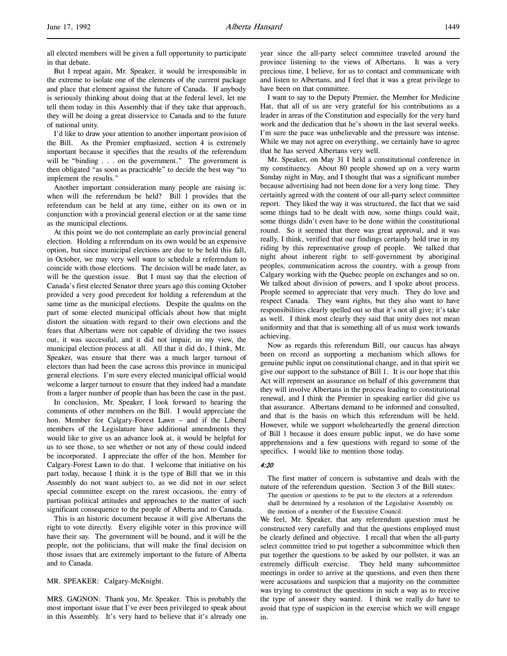all elected members will be given a full opportunity to participate in that debate.

But I repeat again, Mr. Speaker, it would be irresponsible in the extreme to isolate one of the elements of the current package and place that element against the future of Canada. If anybody is seriously thinking about doing that at the federal level, let me tell them today in this Assembly that if they take that approach, they will be doing a great disservice to Canada and to the future of national unity.

I'd like to draw your attention to another important provision of the Bill. As the Premier emphasized, section 4 is extremely important because it specifies that the results of the referendum will be "binding . . . on the government." The government is then obligated "as soon as practicable" to decide the best way "to implement the results."

Another important consideration many people are raising is: when will the referendum be held? Bill 1 provides that the referendum can be held at any time, either on its own or in conjunction with a provincial general election or at the same time as the municipal elections.

At this point we do not contemplate an early provincial general election. Holding a referendum on its own would be an expensive option, but since municipal elections are due to be held this fall, in October, we may very well want to schedule a referendum to coincide with those elections. The decision will be made later, as will be the question issue. But I must say that the election of Canada's first elected Senator three years ago this coming October provided a very good precedent for holding a referendum at the same time as the municipal elections. Despite the qualms on the part of some elected municipal officials about how that might distort the situation with regard to their own elections and the fears that Albertans were not capable of dividing the two issues out, it was successful, and it did not impair, in my view, the municipal election process at all. All that it did do, I think, Mr. Speaker, was ensure that there was a much larger turnout of electors than had been the case across this province in municipal general elections. I'm sure every elected municipal official would welcome a larger turnout to ensure that they indeed had a mandate from a larger number of people than has been the case in the past.

In conclusion, Mr. Speaker, I look forward to hearing the comments of other members on the Bill. I would appreciate the hon. Member for Calgary-Forest Lawn – and if the Liberal members of the Legislature have additional amendments they would like to give us an advance look at, it would be helpful for us to see those, to see whether or not any of those could indeed be incorporated. I appreciate the offer of the hon. Member for Calgary-Forest Lawn to do that. I welcome that initiative on his part today, because I think it is the type of Bill that we in this Assembly do not want subject to, as we did not in our select special committee except on the rarest occasions, the entry of partisan political attitudes and approaches to the matter of such significant consequence to the people of Alberta and to Canada.

This is an historic document because it will give Albertans the right to vote directly. Every eligible voter in this province will have their say. The government will be bound, and it will be the people, not the politicians, that will make the final decision on those issues that are extremely important to the future of Alberta and to Canada.

MR. SPEAKER: Calgary-McKnight.

MRS. GAGNON: Thank you, Mr. Speaker. This is probably the most important issue that I've ever been privileged to speak about in this Assembly. It's very hard to believe that it's already one

year since the all-party select committee traveled around the province listening to the views of Albertans. It was a very precious time, I believe, for us to contact and communicate with and listen to Albertans, and I feel that it was a great privilege to have been on that committee.

I want to say to the Deputy Premier, the Member for Medicine Hat, that all of us are very grateful for his contributions as a leader in areas of the Constitution and especially for the very hard work and the dedication that he's shown in the last several weeks. I'm sure the pace was unbelievable and the pressure was intense. While we may not agree on everything, we certainly have to agree that he has served Albertans very well.

Mr. Speaker, on May 31 I held a constitutional conference in my constituency. About 80 people showed up on a very warm Sunday night in May, and I thought that was a significant number because advertising had not been done for a very long time. They certainly agreed with the content of our all-party select committee report. They liked the way it was structured, the fact that we said some things had to be dealt with now, some things could wait, some things didn't even have to be done within the constitutional round. So it seemed that there was great approval, and it was really, I think, verified that our findings certainly hold true in my riding by this representative group of people. We talked that night about inherent right to self-government by aboriginal peoples, communication across the country, with a group from Calgary working with the Quebec people on exchanges and so on. We talked about division of powers, and I spoke about process. People seemed to appreciate that very much. They do love and respect Canada. They want rights, but they also want to have responsibilities clearly spelled out so that it's not all give; it's take as well. I think most clearly they said that unity does not mean uniformity and that that is something all of us must work towards achieving.

Now as regards this referendum Bill, our caucus has always been on record as supporting a mechanism which allows for genuine public input on constitutional change, and in that spirit we give our support to the substance of Bill 1. It is our hope that this Act will represent an assurance on behalf of this government that they will involve Albertans in the process leading to constitutional renewal, and I think the Premier in speaking earlier did give us that assurance. Albertans demand to be informed and consulted, and that is the basis on which this referendum will be held. However, while we support wholeheartedly the general direction of Bill 1 because it does ensure public input, we do have some apprehensions and a few questions with regard to some of the specifics. I would like to mention those today.

### 4:20

The first matter of concern is substantive and deals with the nature of the referendum question. Section 3 of the Bill states:

The question or questions to be put to the electors at a referendum shall be determined by a resolution of the Legislative Assembly on the motion of a member of the Executive Council.

We feel, Mr. Speaker, that any referendum question must be constructed very carefully and that the questions employed must be clearly defined and objective. I recall that when the all-party select committee tried to put together a subcommittee which then put together the questions to be asked by our pollster, it was an extremely difficult exercise. They held many subcommittee meetings in order to arrive at the questions, and even then there were accusations and suspicion that a majority on the committee was trying to construct the questions in such a way as to receive the type of answer they wanted. I think we really do have to avoid that type of suspicion in the exercise which we will engage in.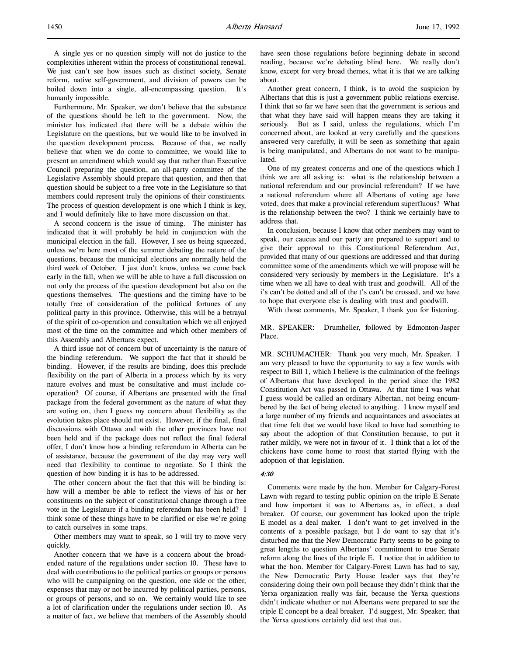Furthermore, Mr. Speaker, we don't believe that the substance of the questions should be left to the government. Now, the minister has indicated that there will be a debate within the Legislature on the questions, but we would like to be involved in the question development process. Because of that, we really believe that when we do come to committee, we would like to present an amendment which would say that rather than Executive Council preparing the question, an all-party committee of the Legislative Assembly should prepare that question, and then that question should be subject to a free vote in the Legislature so that members could represent truly the opinions of their constituents. The process of question development is one which I think is key, and I would definitely like to have more discussion on that.

A second concern is the issue of timing. The minister has indicated that it will probably be held in conjunction with the municipal election in the fall. However, I see us being squeezed, unless we're here most of the summer debating the nature of the questions, because the municipal elections are normally held the third week of October. I just don't know, unless we come back early in the fall, when we will be able to have a full discussion on not only the process of the question development but also on the questions themselves. The questions and the timing have to be totally free of consideration of the political fortunes of any political party in this province. Otherwise, this will be a betrayal of the spirit of co-operation and consultation which we all enjoyed most of the time on the committee and which other members of this Assembly and Albertans expect.

A third issue not of concern but of uncertainty is the nature of the binding referendum. We support the fact that it should be binding. However, if the results are binding, does this preclude flexibility on the part of Alberta in a process which by its very nature evolves and must be consultative and must include cooperation? Of course, if Albertans are presented with the final package from the federal government as the nature of what they are voting on, then I guess my concern about flexibility as the evolution takes place should not exist. However, if the final, final discussions with Ottawa and with the other provinces have not been held and if the package does not reflect the final federal offer, I don't know how a binding referendum in Alberta can be of assistance, because the government of the day may very well need that flexibility to continue to negotiate. So I think the question of how binding it is has to be addressed.

The other concern about the fact that this will be binding is: how will a member be able to reflect the views of his or her constituents on the subject of constitutional change through a free vote in the Legislature if a binding referendum has been held? I think some of these things have to be clarified or else we're going to catch ourselves in some traps.

Other members may want to speak, so I will try to move very quickly.

Another concern that we have is a concern about the broadended nature of the regulations under section 10. These have to deal with contributions to the political parties or groups or persons who will be campaigning on the question, one side or the other, expenses that may or not be incurred by political parties, persons, or groups of persons, and so on. We certainly would like to see a lot of clarification under the regulations under section 10. As a matter of fact, we believe that members of the Assembly should have seen those regulations before beginning debate in second reading, because we're debating blind here. We really don't know, except for very broad themes, what it is that we are talking about.

Another great concern, I think, is to avoid the suspicion by Albertans that this is just a government public relations exercise. I think that so far we have seen that the government is serious and that what they have said will happen means they are taking it seriously. But as I said, unless the regulations, which I'm concerned about, are looked at very carefully and the questions answered very carefully, it will be seen as something that again is being manipulated, and Albertans do not want to be manipulated.

One of my greatest concerns and one of the questions which I think we are all asking is: what is the relationship between a national referendum and our provincial referendum? If we have a national referendum where all Albertans of voting age have voted, does that make a provincial referendum superfluous? What is the relationship between the two? I think we certainly have to address that.

In conclusion, because I know that other members may want to speak, our caucus and our party are prepared to support and to give their approval to this Constitutional Referendum Act, provided that many of our questions are addressed and that during committee some of the amendments which we will propose will be considered very seriously by members in the Legislature. It's a time when we all have to deal with trust and goodwill. All of the i's can't be dotted and all of the t's can't be crossed, and we have to hope that everyone else is dealing with trust and goodwill.

With those comments, Mr. Speaker, I thank you for listening.

MR. SPEAKER: Drumheller, followed by Edmonton-Jasper Place.

MR. SCHUMACHER: Thank you very much, Mr. Speaker. I am very pleased to have the opportunity to say a few words with respect to Bill 1, which I believe is the culmination of the feelings of Albertans that have developed in the period since the 1982 Constitution Act was passed in Ottawa. At that time I was what I guess would be called an ordinary Albertan, not being encumbered by the fact of being elected to anything. I know myself and a large number of my friends and acquaintances and associates at that time felt that we would have liked to have had something to say about the adoption of that Constitution because, to put it rather mildly, we were not in favour of it. I think that a lot of the chickens have come home to roost that started flying with the adoption of that legislation.

#### 4:30

Comments were made by the hon. Member for Calgary-Forest Lawn with regard to testing public opinion on the triple E Senate and how important it was to Albertans as, in effect, a deal breaker. Of course, our government has looked upon the triple E model as a deal maker. I don't want to get involved in the contents of a possible package, but I do want to say that it's disturbed me that the New Democratic Party seems to be going to great lengths to question Albertans' commitment to true Senate reform along the lines of the triple E. I notice that in addition to what the hon. Member for Calgary-Forest Lawn has had to say, the New Democratic Party House leader says that they're considering doing their own poll because they didn't think that the Yerxa organization really was fair, because the Yerxa questions didn't indicate whether or not Albertans were prepared to see the triple E concept be a deal breaker. I'd suggest, Mr. Speaker, that the Yerxa questions certainly did test that out.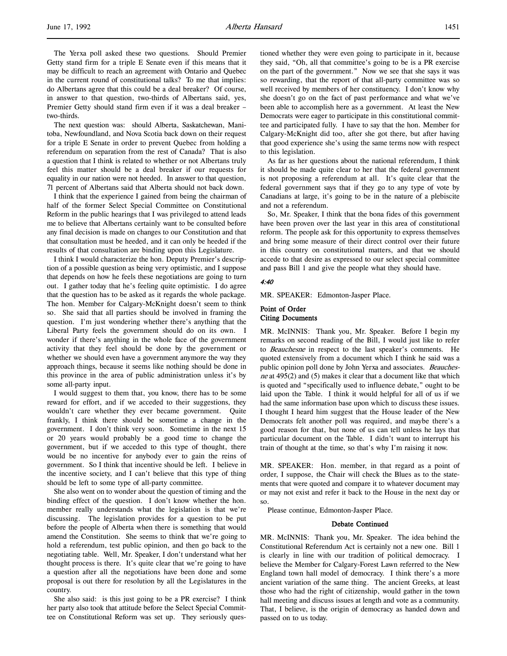The Yerxa poll asked these two questions. Should Premier Getty stand firm for a triple E Senate even if this means that it may be difficult to reach an agreement with Ontario and Quebec in the current round of constitutional talks? To me that implies: do Albertans agree that this could be a deal breaker? Of course, in answer to that question, two-thirds of Albertans said, yes, Premier Getty should stand firm even if it was a deal breaker – two-thirds.

The next question was: should Alberta, Saskatchewan, Manitoba, Newfoundland, and Nova Scotia back down on their request for a triple E Senate in order to prevent Quebec from holding a referendum on separation from the rest of Canada? That is also a question that I think is related to whether or not Albertans truly feel this matter should be a deal breaker if our requests for equality in our nation were not heeded. In answer to that question, 71 percent of Albertans said that Alberta should not back down.

I think that the experience I gained from being the chairman of half of the former Select Special Committee on Constitutional Reform in the public hearings that I was privileged to attend leads me to believe that Albertans certainly want to be consulted before any final decision is made on changes to our Constitution and that that consultation must be heeded, and it can only be heeded if the results of that consultation are binding upon this Legislature.

I think I would characterize the hon. Deputy Premier's description of a possible question as being very optimistic, and I suppose that depends on how he feels these negotiations are going to turn out. I gather today that he's feeling quite optimistic. I do agree that the question has to be asked as it regards the whole package. The hon. Member for Calgary-McKnight doesn't seem to think so. She said that all parties should be involved in framing the question. I'm just wondering whether there's anything that the Liberal Party feels the government should do on its own. I wonder if there's anything in the whole face of the government activity that they feel should be done by the government or whether we should even have a government anymore the way they approach things, because it seems like nothing should be done in this province in the area of public administration unless it's by some all-party input.

I would suggest to them that, you know, there has to be some reward for effort, and if we acceded to their suggestions, they wouldn't care whether they ever became government. Quite frankly, I think there should be sometime a change in the government. I don't think very soon. Sometime in the next 15 or 20 years would probably be a good time to change the government, but if we acceded to this type of thought, there would be no incentive for anybody ever to gain the reins of government. So I think that incentive should be left. I believe in the incentive society, and I can't believe that this type of thing should be left to some type of all-party committee.

She also went on to wonder about the question of timing and the binding effect of the question. I don't know whether the hon. member really understands what the legislation is that we're discussing. The legislation provides for a question to be put before the people of Alberta when there is something that would amend the Constitution. She seems to think that we're going to hold a referendum, test public opinion, and then go back to the negotiating table. Well, Mr. Speaker, I don't understand what her thought process is there. It's quite clear that we're going to have a question after all the negotiations have been done and some proposal is out there for resolution by all the Legislatures in the country.

She also said: is this just going to be a PR exercise? I think her party also took that attitude before the Select Special Committee on Constitutional Reform was set up. They seriously questioned whether they were even going to participate in it, because they said, "Oh, all that committee's going to be is a PR exercise on the part of the government." Now we see that she says it was so rewarding, that the report of that all-party committee was so well received by members of her constituency. I don't know why she doesn't go on the fact of past performance and what we've been able to accomplish here as a government. At least the New Democrats were eager to participate in this constitutional committee and participated fully. I have to say that the hon. Member for Calgary-McKnight did too, after she got there, but after having that good experience she's using the same terms now with respect to this legislation.

As far as her questions about the national referendum, I think it should be made quite clear to her that the federal government is not proposing a referendum at all. It's quite clear that the federal government says that if they go to any type of vote by Canadians at large, it's going to be in the nature of a plebiscite and not a referendum.

So, Mr. Speaker, I think that the bona fides of this government have been proven over the last year in this area of constitutional reform. The people ask for this opportunity to express themselves and bring some measure of their direct control over their future in this country on constitutional matters, and that we should accede to that desire as expressed to our select special committee and pass Bill 1 and give the people what they should have.

### 4:40

MR. SPEAKER: Edmonton-Jasper Place.

## Point of Order Citing Documents

MR. McINNIS: Thank you, Mr. Speaker. Before I begin my remarks on second reading of the Bill, I would just like to refer to Beauchesne in respect to the last speaker's comments. He quoted extensively from a document which I think he said was a public opinion poll done by John Yerxa and associates. Beauchesne at  $495(2)$  and  $(5)$  makes it clear that a document like that which is quoted and "specifically used to influence debate," ought to be laid upon the Table. I think it would helpful for all of us if we had the same information base upon which to discuss these issues. I thought I heard him suggest that the House leader of the New Democrats felt another poll was required, and maybe there's a good reason for that, but none of us can tell unless he lays that particular document on the Table. I didn't want to interrupt his train of thought at the time, so that's why I'm raising it now.

MR. SPEAKER: Hon. member, in that regard as a point of order, I suppose, the Chair will check the Blues as to the statements that were quoted and compare it to whatever document may or may not exist and refer it back to the House in the next day or so.

Please continue, Edmonton-Jasper Place.

#### Debate Continued

MR. McINNIS: Thank you, Mr. Speaker. The idea behind the Constitutional Referendum Act is certainly not a new one. Bill 1 is clearly in line with our tradition of political democracy. I believe the Member for Calgary-Forest Lawn referred to the New England town hall model of democracy. I think there's a more ancient variation of the same thing. The ancient Greeks, at least those who had the right of citizenship, would gather in the town hall meeting and discuss issues at length and vote as a community. That, I believe, is the origin of democracy as handed down and passed on to us today.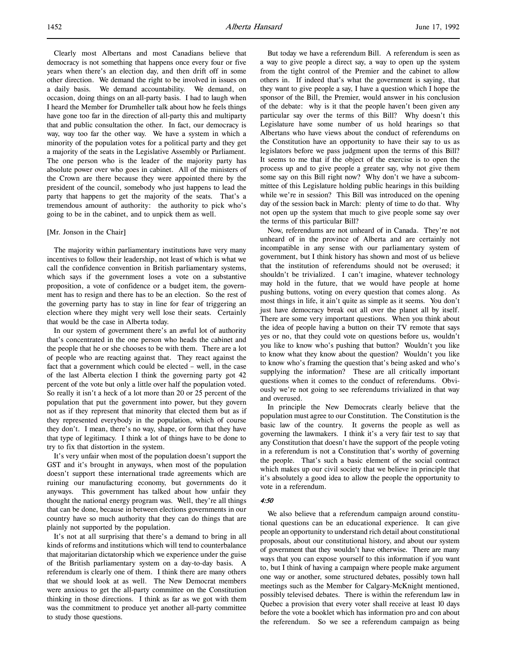Clearly most Albertans and most Canadians believe that democracy is not something that happens once every four or five years when there's an election day, and then drift off in some other direction. We demand the right to be involved in issues on a daily basis. We demand accountability. We demand, on occasion, doing things on an all-party basis. I had to laugh when I heard the Member for Drumheller talk about how he feels things have gone too far in the direction of all-party this and multiparty that and public consultation the other. In fact, our democracy is way, way too far the other way. We have a system in which a minority of the population votes for a political party and they get a majority of the seats in the Legislative Assembly or Parliament. The one person who is the leader of the majority party has absolute power over who goes in cabinet. All of the ministers of the Crown are there because they were appointed there by the president of the council, somebody who just happens to lead the party that happens to get the majority of the seats. That's a tremendous amount of authority: the authority to pick who's going to be in the cabinet, and to unpick them as well.

### [Mr. Jonson in the Chair]

The majority within parliamentary institutions have very many incentives to follow their leadership, not least of which is what we call the confidence convention in British parliamentary systems, which says if the government loses a vote on a substantive proposition, a vote of confidence or a budget item, the government has to resign and there has to be an election. So the rest of the governing party has to stay in line for fear of triggering an election where they might very well lose their seats. Certainly that would be the case in Alberta today.

In our system of government there's an awful lot of authority that's concentrated in the one person who heads the cabinet and the people that he or she chooses to be with them. There are a lot of people who are reacting against that. They react against the fact that a government which could be elected – well, in the case of the last Alberta election I think the governing party got 42 percent of the vote but only a little over half the population voted. So really it isn't a heck of a lot more than 20 or 25 percent of the population that put the government into power, but they govern not as if they represent that minority that elected them but as if they represented everybody in the population, which of course they don't. I mean, there's no way, shape, or form that they have that type of legitimacy. I think a lot of things have to be done to try to fix that distortion in the system.

It's very unfair when most of the population doesn't support the GST and it's brought in anyways, when most of the population doesn't support these international trade agreements which are ruining our manufacturing economy, but governments do it anyways. This government has talked about how unfair they thought the national energy program was. Well, they're all things that can be done, because in between elections governments in our country have so much authority that they can do things that are plainly not supported by the population.

It's not at all surprising that there's a demand to bring in all kinds of reforms and institutions which will tend to counterbalance that majoritarian dictatorship which we experience under the guise of the British parliamentary system on a day-to-day basis. A referendum is clearly one of them. I think there are many others that we should look at as well. The New Democrat members were anxious to get the all-party committee on the Constitution thinking in those directions. I think as far as we got with them was the commitment to produce yet another all-party committee to study those questions.

But today we have a referendum Bill. A referendum is seen as a way to give people a direct say, a way to open up the system from the tight control of the Premier and the cabinet to allow others in. If indeed that's what the government is saying, that they want to give people a say, I have a question which I hope the sponsor of the Bill, the Premier, would answer in his conclusion of the debate: why is it that the people haven't been given any particular say over the terms of this Bill? Why doesn't this Legislature have some number of us hold hearings so that Albertans who have views about the conduct of referendums on the Constitution have an opportunity to have their say to us as legislators before we pass judgment upon the terms of this Bill? It seems to me that if the object of the exercise is to open the process up and to give people a greater say, why not give them some say on this Bill right now? Why don't we have a subcommittee of this Legislature holding public hearings in this building while we're in session? This Bill was introduced on the opening day of the session back in March: plenty of time to do that. Why not open up the system that much to give people some say over the terms of this particular Bill?

Now, referendums are not unheard of in Canada. They're not unheard of in the province of Alberta and are certainly not incompatible in any sense with our parliamentary system of government, but I think history has shown and most of us believe that the institution of referendums should not be overused; it shouldn't be trivialized. I can't imagine, whatever technology may hold in the future, that we would have people at home pushing buttons, voting on every question that comes along. As most things in life, it ain't quite as simple as it seems. You don't just have democracy break out all over the planet all by itself. There are some very important questions. When you think about the idea of people having a button on their TV remote that says yes or no, that they could vote on questions before us, wouldn't you like to know who's pushing that button? Wouldn't you like to know what they know about the question? Wouldn't you like to know who's framing the question that's being asked and who's supplying the information? These are all critically important questions when it comes to the conduct of referendums. Obviously we're not going to see referendums trivialized in that way and overused.

In principle the New Democrats clearly believe that the population must agree to our Constitution. The Constitution is the basic law of the country. It governs the people as well as governing the lawmakers. I think it's a very fair test to say that any Constitution that doesn't have the support of the people voting in a referendum is not a Constitution that's worthy of governing the people. That's such a basic element of the social contract which makes up our civil society that we believe in principle that it's absolutely a good idea to allow the people the opportunity to vote in a referendum.

#### 4:50

We also believe that a referendum campaign around constitutional questions can be an educational experience. It can give people an opportunity to understand rich detail about constitutional proposals, about our constitutional history, and about our system of government that they wouldn't have otherwise. There are many ways that you can expose yourself to this information if you want to, but I think of having a campaign where people make argument one way or another, some structured debates, possibly town hall meetings such as the Member for Calgary-McKnight mentioned, possibly televised debates. There is within the referendum law in Quebec a provision that every voter shall receive at least 10 days before the vote a booklet which has information pro and con about the referendum. So we see a referendum campaign as being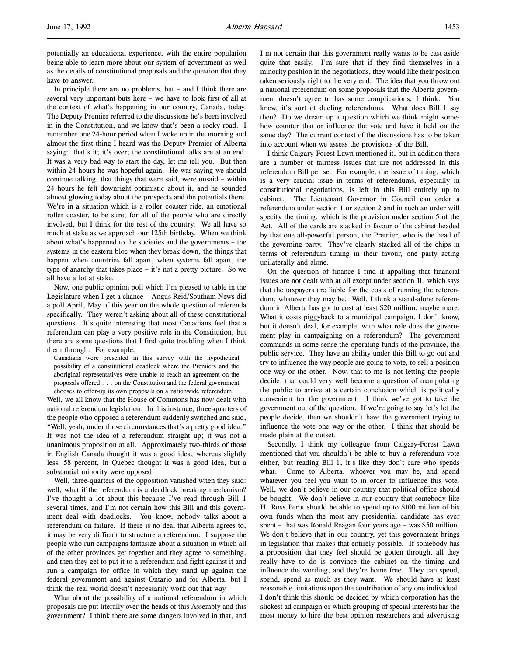potentially an educational experience, with the entire population being able to learn more about our system of government as well as the details of constitutional proposals and the question that they have to answer.

In principle there are no problems, but – and I think there are several very important buts here – we have to look first of all at the context of what's happening in our country, Canada, today. The Deputy Premier referred to the discussions he's been involved in in the Constitution, and we know that's been a rocky road. I remember one 24-hour period when I woke up in the morning and almost the first thing I heard was the Deputy Premier of Alberta saying: that's it; it's over; the constitutional talks are at an end. It was a very bad way to start the day, let me tell you. But then within 24 hours he was hopeful again. He was saying we should continue talking, that things that were said, were unsaid – within 24 hours he felt downright optimistic about it, and he sounded almost glowing today about the prospects and the potentials there. We're in a situation which is a roller coaster ride, an emotional roller coaster, to be sure, for all of the people who are directly involved, but I think for the rest of the country. We all have so much at stake as we approach our 125th birthday. When we think about what's happened to the societies and the governments – the systems in the eastern bloc when they break down, the things that happen when countries fall apart, when systems fall apart, the type of anarchy that takes place – it's not a pretty picture. So we all have a lot at stake.

Now, one public opinion poll which I'm pleased to table in the Legislature when I get a chance – Angus Reid/Southam News did a poll April, May of this year on the whole question of referenda specifically. They weren't asking about all of these constitutional questions. It's quite interesting that most Canadians feel that a referendum can play a very positive role in the Constitution, but there are some questions that I find quite troubling when I think them through. For example,

Canadians were presented in this survey with the hypothetical possibility of a constitutional deadlock where the Premiers and the aboriginal representatives were unable to reach an agreement on the proposals offered . . . on the Constitution and the federal government chooses to offer-up its own proposals on a nationwide referendum.

Well, we all know that the House of Commons has now dealt with national referendum legislation. In this instance, three-quarters of the people who opposed a referendum suddenly switched and said, "Well, yeah, under those circumstances that's a pretty good idea." It was not the idea of a referendum straight up; it was not a unanimous proposition at all. Approximately two-thirds of those in English Canada thought it was a good idea, whereas slightly less, 58 percent, in Quebec thought it was a good idea, but a substantial minority were opposed.

Well, three-quarters of the opposition vanished when they said: well, what if the referendum is a deadlock breaking mechanism? I've thought a lot about this because I've read through Bill 1 several times, and I'm not certain how this Bill and this government deal with deadlocks. You know, nobody talks about a referendum on failure. If there is no deal that Alberta agrees to, it may be very difficult to structure a referendum. I suppose the people who run campaigns fantasize about a situation in which all of the other provinces get together and they agree to something, and then they get to put it to a referendum and fight against it and run a campaign for office in which they stand up against the federal government and against Ontario and for Alberta, but I think the real world doesn't necessarily work out that way.

What about the possibility of a national referendum in which proposals are put literally over the heads of this Assembly and this government? I think there are some dangers involved in that, and

I'm not certain that this government really wants to be cast aside quite that easily. I'm sure that if they find themselves in a minority position in the negotiations, they would like their position taken seriously right to the very end. The idea that you throw out a national referendum on some proposals that the Alberta government doesn't agree to has some complications, I think. You know, it's sort of dueling referendums. What does Bill 1 say then? Do we dream up a question which we think might somehow counter that or influence the vote and have it held on the same day? The current context of the discussions has to be taken into account when we assess the provisions of the Bill.

I think Calgary-Forest Lawn mentioned it, but in addition there are a number of fairness issues that are not addressed in this referendum Bill per se. For example, the issue of timing, which is a very crucial issue in terms of referendums, especially in constitutional negotiations, is left in this Bill entirely up to cabinet. The Lieutenant Governor in Council can order a referendum under section 1 or section 2 and in such an order will specify the timing, which is the provision under section 5 of the Act. All of the cards are stacked in favour of the cabinet headed by that one all-powerful person, the Premier, who is the head of the governing party. They've clearly stacked all of the chips in terms of referendum timing in their favour, one party acting unilaterally and alone.

On the question of finance I find it appalling that financial issues are not dealt with at all except under section 11, which says that the taxpayers are liable for the costs of running the referendum, whatever they may be. Well, I think a stand-alone referendum in Alberta has got to cost at least \$20 million, maybe more. What it costs piggyback to a municipal campaign, I don't know, but it doesn't deal, for example, with what role does the government play in campaigning on a referendum? The government commands in some sense the operating funds of the province, the public service. They have an ability under this Bill to go out and try to influence the way people are going to vote, to sell a position one way or the other. Now, that to me is not letting the people decide; that could very well become a question of manipulating the public to arrive at a certain conclusion which is politically convenient for the government. I think we've got to take the government out of the question. If we're going to say let's let the people decide, then we shouldn't have the government trying to influence the vote one way or the other. I think that should be made plain at the outset.

Secondly, I think my colleague from Calgary-Forest Lawn mentioned that you shouldn't be able to buy a referendum vote either, but reading Bill 1, it's like they don't care who spends what. Come to Alberta, whoever you may be, and spend whatever you feel you want to in order to influence this vote. Well, we don't believe in our country that political office should be bought. We don't believe in our country that somebody like H. Ross Perot should be able to spend up to \$100 million of his own funds when the most any presidential candidate has ever spent – that was Ronald Reagan four years ago – was \$50 million. We don't believe that in our country, yet this government brings in legislation that makes that entirely possible. If somebody has a proposition that they feel should be gotten through, all they really have to do is convince the cabinet on the timing and influence the wording, and they're home free. They can spend, spend, spend as much as they want. We should have at least reasonable limitations upon the contribution of any one individual. I don't think this should be decided by which corporation has the slickest ad campaign or which grouping of special interests has the most money to hire the best opinion researchers and advertising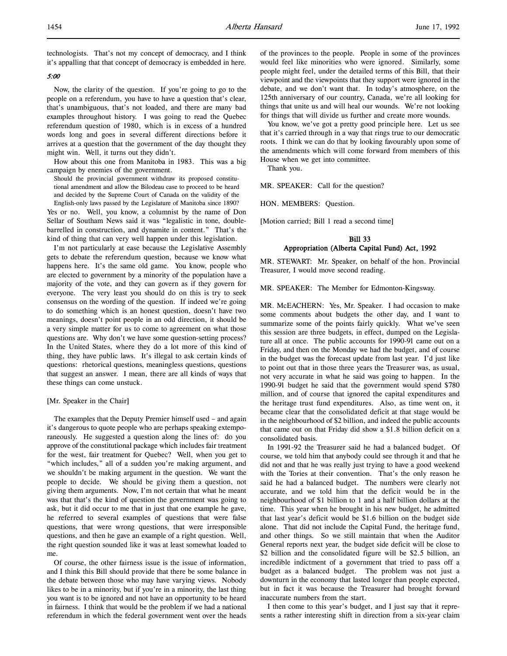technologists. That's not my concept of democracy, and I think it's appalling that that concept of democracy is embedded in here.

# 5:00

Now, the clarity of the question. If you're going to go to the people on a referendum, you have to have a question that's clear, that's unambiguous, that's not loaded, and there are many bad examples throughout history. I was going to read the Quebec referendum question of 1980, which is in excess of a hundred words long and goes in several different directions before it arrives at a question that the government of the day thought they might win. Well, it turns out they didn't.

How about this one from Manitoba in 1983. This was a big campaign by enemies of the government.

Should the provincial government withdraw its proposed constitutional amendment and allow the Bilodeau case to proceed to be heard and decided by the Supreme Court of Canada on the validity of the English-only laws passed by the Legislature of Manitoba since 1890?

Yes or no. Well, you know, a columnist by the name of Don Sellar of Southam News said it was "legalistic in tone, doublebarrelled in construction, and dynamite in content." That's the kind of thing that can very well happen under this legislation.

I'm not particularly at ease because the Legislative Assembly gets to debate the referendum question, because we know what happens here. It's the same old game. You know, people who are elected to government by a minority of the population have a majority of the vote, and they can govern as if they govern for everyone. The very least you should do on this is try to seek consensus on the wording of the question. If indeed we're going to do something which is an honest question, doesn't have two meanings, doesn't point people in an odd direction, it should be a very simple matter for us to come to agreement on what those questions are. Why don't we have some question-setting process? In the United States, where they do a lot more of this kind of thing, they have public laws. It's illegal to ask certain kinds of questions: rhetorical questions, meaningless questions, questions that suggest an answer. I mean, there are all kinds of ways that these things can come unstuck.

### [Mr. Speaker in the Chair]

The examples that the Deputy Premier himself used – and again it's dangerous to quote people who are perhaps speaking extemporaneously. He suggested a question along the lines of: do you approve of the constitutional package which includes fair treatment for the west, fair treatment for Quebec? Well, when you get to "which includes," all of a sudden you're making argument, and we shouldn't be making argument in the question. We want the people to decide. We should be giving them a question, not giving them arguments. Now, I'm not certain that what he meant was that that's the kind of question the government was going to ask, but it did occur to me that in just that one example he gave, he referred to several examples of questions that were false questions, that were wrong questions, that were irresponsible questions, and then he gave an example of a right question. Well, the right question sounded like it was at least somewhat loaded to me.

Of course, the other fairness issue is the issue of information, and I think this Bill should provide that there be some balance in the debate between those who may have varying views. Nobody likes to be in a minority, but if you're in a minority, the last thing you want is to be ignored and not have an opportunity to be heard in fairness. I think that would be the problem if we had a national referendum in which the federal government went over the heads of the provinces to the people. People in some of the provinces would feel like minorities who were ignored. Similarly, some people might feel, under the detailed terms of this Bill, that their viewpoint and the viewpoints that they support were ignored in the debate, and we don't want that. In today's atmosphere, on the 125th anniversary of our country, Canada, we're all looking for things that unite us and will heal our wounds. We're not looking for things that will divide us further and create more wounds.

You know, we've got a pretty good principle here. Let us see that it's carried through in a way that rings true to our democratic roots. I think we can do that by looking favourably upon some of the amendments which will come forward from members of this House when we get into committee.

Thank you.

MR. SPEAKER: Call for the question?

HON. MEMBERS: Question.

[Motion carried; Bill 1 read a second time]

# Bill 33 Appropriation (Alberta Capital Fund) Act, 1992

MR. STEWART: Mr. Speaker, on behalf of the hon. Provincial Treasurer, I would move second reading.

MR. SPEAKER: The Member for Edmonton-Kingsway.

MR. McEACHERN: Yes, Mr. Speaker. I had occasion to make some comments about budgets the other day, and I want to summarize some of the points fairly quickly. What we've seen this session are three budgets, in effect, dumped on the Legislature all at once. The public accounts for 1990-91 came out on a Friday, and then on the Monday we had the budget, and of course in the budget was the forecast update from last year. I'd just like to point out that in those three years the Treasurer was, as usual, not very accurate in what he said was going to happen. In the 1990-91 budget he said that the government would spend \$780 million, and of course that ignored the capital expenditures and the heritage trust fund expenditures. Also, as time went on, it became clear that the consolidated deficit at that stage would be in the neighbourhood of \$2 billion, and indeed the public accounts that came out on that Friday did show a \$1.8 billion deficit on a consolidated basis.

In 1991-92 the Treasurer said he had a balanced budget. Of course, we told him that anybody could see through it and that he did not and that he was really just trying to have a good weekend with the Tories at their convention. That's the only reason he said he had a balanced budget. The numbers were clearly not accurate, and we told him that the deficit would be in the neighbourhood of \$1 billion to 1 and a half billion dollars at the time. This year when he brought in his new budget, he admitted that last year's deficit would be \$1.6 billion on the budget side alone. That did not include the Capital Fund, the heritage fund, and other things. So we still maintain that when the Auditor General reports next year, the budget side deficit will be close to \$2 billion and the consolidated figure will be \$2.5 billion, an incredible indictment of a government that tried to pass off a budget as a balanced budget. The problem was not just a downturn in the economy that lasted longer than people expected, but in fact it was because the Treasurer had brought forward inaccurate numbers from the start.

I then come to this year's budget, and I just say that it represents a rather interesting shift in direction from a six-year claim